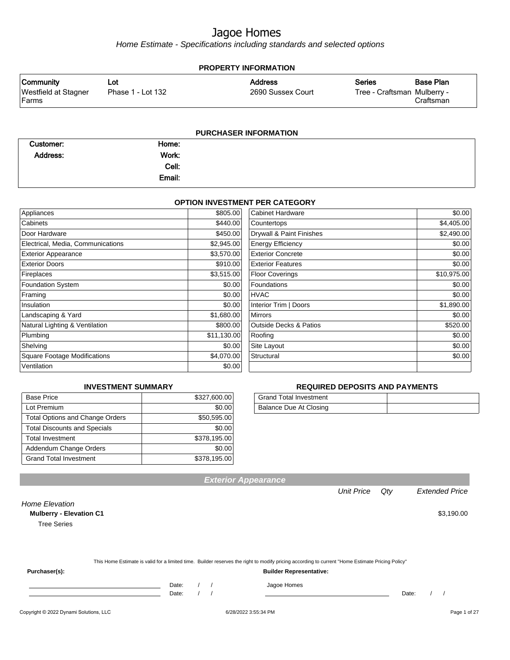Home Estimate - Specifications including standards and selected options

|                               | <b>PROPERTY INFORMATION</b> |                   |                             |           |  |  |  |
|-------------------------------|-----------------------------|-------------------|-----------------------------|-----------|--|--|--|
| Community                     | ∟ot                         | <b>Address</b>    | Series                      | Base Plan |  |  |  |
| Westfield at Stagner<br>Farms | Phase 1 - Lot 132           | 2690 Sussex Court | Tree - Craftsman Mulberry - | Craftsman |  |  |  |
|                               |                             |                   |                             |           |  |  |  |

#### **PURCHASER INFORMATION**

| Customer: | Home:  |  |
|-----------|--------|--|
| Address:  | Work:  |  |
|           | Cell:  |  |
|           | Email: |  |

#### **OPTION INVESTMENT PER CATEGORY**

| Appliances                          | \$805.00    | Cabinet Hardware                  | \$0.00      |
|-------------------------------------|-------------|-----------------------------------|-------------|
| Cabinets                            | \$440.00    | Countertops                       | \$4,405.00  |
| Door Hardware                       | \$450.00    | Drywall & Paint Finishes          | \$2,490.00  |
| Electrical, Media, Communications   | \$2,945.00  | <b>Energy Efficiency</b>          | \$0.00      |
| <b>Exterior Appearance</b>          | \$3,570.00  | <b>Exterior Concrete</b>          | \$0.00      |
| <b>Exterior Doors</b>               | \$910.00    | <b>Exterior Features</b>          | \$0.00      |
| Fireplaces                          | \$3,515.00  | <b>Floor Coverings</b>            | \$10,975.00 |
| <b>Foundation System</b>            | \$0.00      | Foundations                       | \$0.00      |
| Framing                             | \$0.00      | <b>HVAC</b>                       | \$0.00      |
| Insulation                          | \$0.00      | Interior Trim   Doors             | \$1,890.00  |
| Landscaping & Yard                  | \$1,680.00  | Mirrors                           | \$0.00      |
| Natural Lighting & Ventilation      | \$800.00    | <b>Outside Decks &amp; Patios</b> | \$520.00    |
| Plumbing                            | \$11,130.00 | Roofing                           | \$0.00      |
| Shelving                            | \$0.00      | Site Layout                       | \$0.00      |
| <b>Square Footage Modifications</b> | \$4,070.00  | Structural                        | \$0.00      |
| Ventilation                         | \$0.00      |                                   |             |

#### **INVESTMENT SUMMARY**

| <b>Base Price</b>                      | \$327,600.00 |
|----------------------------------------|--------------|
| Lot Premium                            | \$0.00       |
| <b>Total Options and Change Orders</b> | \$50,595.00  |
| <b>Total Discounts and Specials</b>    | \$0.00       |
| <b>Total Investment</b>                | \$378,195.00 |
| Addendum Change Orders                 | \$0.00       |
| <b>Grand Total Investment</b>          | \$378,195.00 |

#### **REQUIRED DEPOSITS AND PAYMENTS**

| <b>Grand Total Investment</b> |  |
|-------------------------------|--|
| Balance Due At Closing        |  |

**Exterior Appearance**

Unit Price Qty Extended Price

Home Elevation

#### **Mulberry - Elevation C1**  $$3,190.00$

Tree Series

This Home Estimate is valid for a limited time. Builder reserves the right to modify pricing according to current "Home Estimate Pricing Policy" **Purchaser(s): Builder Representative:**

Date: / / / Jagoe Homes

Date: / / Date: / /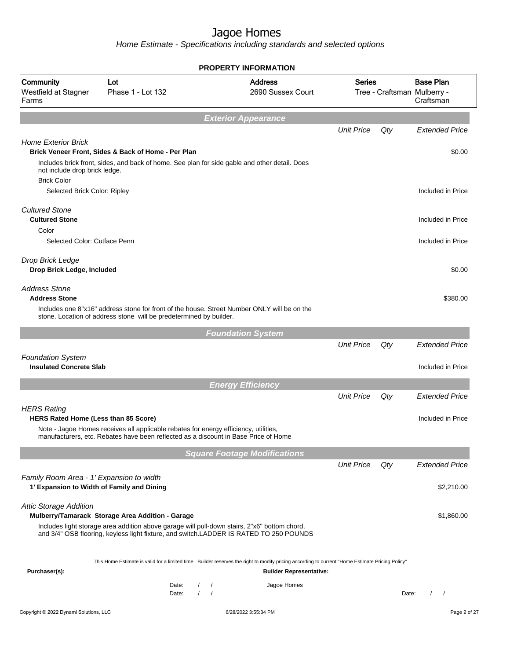|                                                                                        |                                                                                                                                                                                        |                |                                    |                            | <b>PROPERTY INFORMATION</b>                                                                                                                                                        |                   |       |                                                              |
|----------------------------------------------------------------------------------------|----------------------------------------------------------------------------------------------------------------------------------------------------------------------------------------|----------------|------------------------------------|----------------------------|------------------------------------------------------------------------------------------------------------------------------------------------------------------------------------|-------------------|-------|--------------------------------------------------------------|
| Community<br>Westfield at Stagner<br>Farms                                             | Lot<br>Phase 1 - Lot 132                                                                                                                                                               |                |                                    |                            | <b>Address</b><br>2690 Sussex Court                                                                                                                                                | <b>Series</b>     |       | <b>Base Plan</b><br>Tree - Craftsman Mulberry -<br>Craftsman |
|                                                                                        |                                                                                                                                                                                        |                |                                    | <b>Exterior Appearance</b> |                                                                                                                                                                                    |                   |       |                                                              |
|                                                                                        |                                                                                                                                                                                        |                |                                    |                            |                                                                                                                                                                                    | <b>Unit Price</b> | Qty   | <b>Extended Price</b>                                        |
| <b>Home Exterior Brick</b><br>Brick Veneer Front, Sides & Back of Home - Per Plan      |                                                                                                                                                                                        |                |                                    |                            |                                                                                                                                                                                    |                   |       | \$0.00                                                       |
| not include drop brick ledge.<br><b>Brick Color</b>                                    | Includes brick front, sides, and back of home. See plan for side gable and other detail. Does                                                                                          |                |                                    |                            |                                                                                                                                                                                    |                   |       |                                                              |
| Selected Brick Color: Ripley                                                           |                                                                                                                                                                                        |                |                                    |                            |                                                                                                                                                                                    |                   |       | Included in Price                                            |
| <b>Cultured Stone</b>                                                                  |                                                                                                                                                                                        |                |                                    |                            |                                                                                                                                                                                    |                   |       |                                                              |
| <b>Cultured Stone</b>                                                                  |                                                                                                                                                                                        |                |                                    |                            |                                                                                                                                                                                    |                   |       | Included in Price                                            |
| Color<br>Selected Color: Cutface Penn                                                  |                                                                                                                                                                                        |                |                                    |                            |                                                                                                                                                                                    |                   |       | Included in Price                                            |
|                                                                                        |                                                                                                                                                                                        |                |                                    |                            |                                                                                                                                                                                    |                   |       |                                                              |
| Drop Brick Ledge                                                                       |                                                                                                                                                                                        |                |                                    |                            |                                                                                                                                                                                    |                   |       |                                                              |
| Drop Brick Ledge, Included                                                             |                                                                                                                                                                                        |                |                                    |                            |                                                                                                                                                                                    |                   |       | \$0.00                                                       |
| <b>Address Stone</b>                                                                   |                                                                                                                                                                                        |                |                                    |                            |                                                                                                                                                                                    |                   |       |                                                              |
| <b>Address Stone</b>                                                                   |                                                                                                                                                                                        |                |                                    |                            |                                                                                                                                                                                    |                   |       | \$380.00                                                     |
|                                                                                        | Includes one 8"x16" address stone for front of the house. Street Number ONLY will be on the<br>stone. Location of address stone will be predetermined by builder.                      |                |                                    |                            |                                                                                                                                                                                    |                   |       |                                                              |
|                                                                                        |                                                                                                                                                                                        |                |                                    | <b>Foundation System</b>   |                                                                                                                                                                                    |                   |       |                                                              |
|                                                                                        |                                                                                                                                                                                        |                |                                    |                            |                                                                                                                                                                                    | <b>Unit Price</b> | Qty   | <b>Extended Price</b>                                        |
| <b>Foundation System</b>                                                               |                                                                                                                                                                                        |                |                                    |                            |                                                                                                                                                                                    |                   |       |                                                              |
| <b>Insulated Concrete Slab</b>                                                         |                                                                                                                                                                                        |                |                                    |                            |                                                                                                                                                                                    |                   |       | Included in Price                                            |
|                                                                                        |                                                                                                                                                                                        |                |                                    | <b>Energy Efficiency</b>   |                                                                                                                                                                                    |                   |       |                                                              |
|                                                                                        |                                                                                                                                                                                        |                |                                    |                            |                                                                                                                                                                                    | <b>Unit Price</b> | Qty   | <b>Extended Price</b>                                        |
| <b>HERS Rating</b><br>HERS Rated Home (Less than 85 Score)                             |                                                                                                                                                                                        |                |                                    |                            |                                                                                                                                                                                    |                   |       | Included in Price                                            |
|                                                                                        | Note - Jagoe Homes receives all applicable rebates for energy efficiency, utilities,<br>manufacturers, etc. Rebates have been reflected as a discount in Base Price of Home            |                |                                    |                            |                                                                                                                                                                                    |                   |       |                                                              |
|                                                                                        |                                                                                                                                                                                        |                |                                    |                            | <b>Square Footage Modifications</b>                                                                                                                                                |                   |       |                                                              |
|                                                                                        |                                                                                                                                                                                        |                |                                    |                            |                                                                                                                                                                                    | <b>Unit Price</b> | Qty   | <b>Extended Price</b>                                        |
| Family Room Area - 1' Expansion to width<br>1' Expansion to Width of Family and Dining |                                                                                                                                                                                        |                |                                    |                            |                                                                                                                                                                                    |                   |       | \$2,210.00                                                   |
| <b>Attic Storage Addition</b><br>Mulberry/Tamarack Storage Area Addition - Garage      |                                                                                                                                                                                        |                |                                    |                            |                                                                                                                                                                                    |                   |       | \$1,860.00                                                   |
|                                                                                        | Includes light storage area addition above garage will pull-down stairs, 2"x6" bottom chord,<br>and 3/4" OSB flooring, keyless light fixture, and switch.LADDER IS RATED TO 250 POUNDS |                |                                    |                            |                                                                                                                                                                                    |                   |       |                                                              |
| Purchaser(s):                                                                          |                                                                                                                                                                                        |                |                                    |                            | This Home Estimate is valid for a limited time. Builder reserves the right to modify pricing according to current "Home Estimate Pricing Policy"<br><b>Builder Representative:</b> |                   |       |                                                              |
|                                                                                        |                                                                                                                                                                                        | Date:<br>Date: | $\sqrt{2}$<br>$\prime$<br>$\prime$ |                            | Jagoe Homes                                                                                                                                                                        |                   | Date: |                                                              |
|                                                                                        |                                                                                                                                                                                        |                |                                    |                            |                                                                                                                                                                                    |                   |       |                                                              |
| Copyright © 2022 Dynami Solutions, LLC                                                 |                                                                                                                                                                                        |                |                                    | 6/28/2022 3:55:34 PM       |                                                                                                                                                                                    |                   |       | Page 2 of 27                                                 |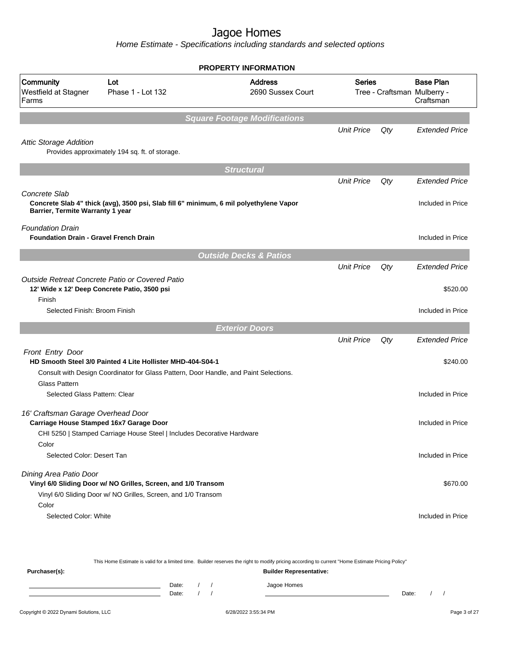| <b>Address</b><br>2690 Sussex Court                        |                                                                                                                                                                                                                                                                                                                                                                                                                                                                                                  |     | <b>Base Plan</b><br>Craftsman                                        |
|------------------------------------------------------------|--------------------------------------------------------------------------------------------------------------------------------------------------------------------------------------------------------------------------------------------------------------------------------------------------------------------------------------------------------------------------------------------------------------------------------------------------------------------------------------------------|-----|----------------------------------------------------------------------|
|                                                            |                                                                                                                                                                                                                                                                                                                                                                                                                                                                                                  |     |                                                                      |
|                                                            | <b>Unit Price</b>                                                                                                                                                                                                                                                                                                                                                                                                                                                                                | Qty | <b>Extended Price</b>                                                |
|                                                            |                                                                                                                                                                                                                                                                                                                                                                                                                                                                                                  |     |                                                                      |
| <b>Structural</b>                                          |                                                                                                                                                                                                                                                                                                                                                                                                                                                                                                  |     |                                                                      |
|                                                            | <b>Unit Price</b>                                                                                                                                                                                                                                                                                                                                                                                                                                                                                | Qty | <b>Extended Price</b>                                                |
|                                                            |                                                                                                                                                                                                                                                                                                                                                                                                                                                                                                  |     | Included in Price                                                    |
|                                                            |                                                                                                                                                                                                                                                                                                                                                                                                                                                                                                  |     | Included in Price                                                    |
|                                                            |                                                                                                                                                                                                                                                                                                                                                                                                                                                                                                  |     |                                                                      |
|                                                            | <b>Unit Price</b>                                                                                                                                                                                                                                                                                                                                                                                                                                                                                | Qty | <b>Extended Price</b>                                                |
|                                                            |                                                                                                                                                                                                                                                                                                                                                                                                                                                                                                  |     | \$520.00                                                             |
|                                                            |                                                                                                                                                                                                                                                                                                                                                                                                                                                                                                  |     | Included in Price                                                    |
|                                                            |                                                                                                                                                                                                                                                                                                                                                                                                                                                                                                  |     |                                                                      |
|                                                            | <b>Unit Price</b>                                                                                                                                                                                                                                                                                                                                                                                                                                                                                | Qty | <b>Extended Price</b>                                                |
|                                                            |                                                                                                                                                                                                                                                                                                                                                                                                                                                                                                  |     |                                                                      |
|                                                            |                                                                                                                                                                                                                                                                                                                                                                                                                                                                                                  |     | \$240.00                                                             |
|                                                            |                                                                                                                                                                                                                                                                                                                                                                                                                                                                                                  |     | Included in Price                                                    |
|                                                            |                                                                                                                                                                                                                                                                                                                                                                                                                                                                                                  |     | Included in Price                                                    |
|                                                            |                                                                                                                                                                                                                                                                                                                                                                                                                                                                                                  |     |                                                                      |
|                                                            |                                                                                                                                                                                                                                                                                                                                                                                                                                                                                                  |     |                                                                      |
|                                                            |                                                                                                                                                                                                                                                                                                                                                                                                                                                                                                  |     | Included in Price                                                    |
|                                                            |                                                                                                                                                                                                                                                                                                                                                                                                                                                                                                  |     | \$670.00                                                             |
|                                                            |                                                                                                                                                                                                                                                                                                                                                                                                                                                                                                  |     |                                                                      |
|                                                            |                                                                                                                                                                                                                                                                                                                                                                                                                                                                                                  |     |                                                                      |
| HD Smooth Steel 3/0 Painted 4 Lite Hollister MHD-404-S04-1 | <b>Square Footage Modifications</b><br>Concrete Slab 4" thick (avg), 3500 psi, Slab fill 6" minimum, 6 mil polyethylene Vapor<br><b>Outside Decks &amp; Patios</b><br><b>Exterior Doors</b><br>Consult with Design Coordinator for Glass Pattern, Door Handle, and Paint Selections.<br>CHI 5250   Stamped Carriage House Steel   Includes Decorative Hardware<br>Vinyl 6/0 Sliding Door w/ NO Grilles, Screen, and 1/0 Transom<br>Vinyl 6/0 Sliding Door w/ NO Grilles, Screen, and 1/0 Transom |     | <b>PROPERTY INFORMATION</b><br>Series<br>Tree - Craftsman Mulberry - |

|               |       |  | This Home Estimate is valid for a limited time. Builder reserves the right to modify pricing according to current "Home Estimate Pricing Policy" |       |  |
|---------------|-------|--|--------------------------------------------------------------------------------------------------------------------------------------------------|-------|--|
| Purchaser(s): |       |  | <b>Builder Representative:</b>                                                                                                                   |       |  |
|               | Date: |  | Jagoe Homes                                                                                                                                      |       |  |
|               | Date: |  |                                                                                                                                                  | Date: |  |
|               |       |  |                                                                                                                                                  |       |  |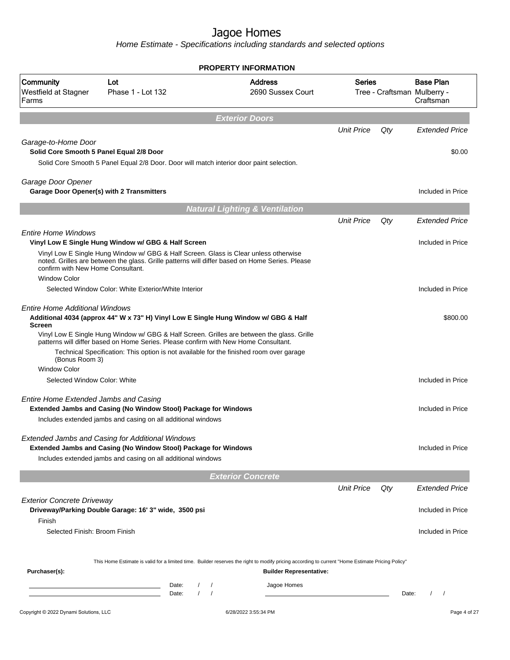| <b>Address</b><br><b>Base Plan</b><br><b>Series</b><br>Lot<br>Phase 1 - Lot 132<br>2690 Sussex Court<br>Tree - Craftsman Mulberry -<br>Craftsman<br><b>Exterior Doors</b><br><b>Unit Price</b><br>Qty<br>Solid Core Smooth 5 Panel Equal 2/8 Door<br>Solid Core Smooth 5 Panel Equal 2/8 Door. Door will match interior door paint selection.<br>Garage Door Opener(s) with 2 Transmitters<br><b>Natural Lighting &amp; Ventilation</b><br><b>Unit Price</b><br>Qty<br>Vinyl Low E Single Hung Window w/ GBG & Half Screen<br>Vinyl Low E Single Hung Window w/ GBG & Half Screen. Glass is Clear unless otherwise<br>noted. Grilles are between the glass. Grille patterns will differ based on Home Series. Please<br>confirm with New Home Consultant.<br><b>Window Color</b><br>Selected Window Color: White Exterior/White Interior<br><b>Entire Home Additional Windows</b><br>Additional 4034 (approx 44" W x 73" H) Vinyl Low E Single Hung Window w/ GBG & Half<br><b>Screen</b><br>Vinyl Low E Single Hung Window w/ GBG & Half Screen. Grilles are between the glass. Grille<br>patterns will differ based on Home Series. Please confirm with New Home Consultant.<br>Technical Specification: This option is not available for the finished room over garage<br>(Bonus Room 3)<br><b>Window Color</b><br>Selected Window Color: White<br><b>Entire Home Extended Jambs and Casing</b><br>Extended Jambs and Casing (No Window Stool) Package for Windows<br>Includes extended jambs and casing on all additional windows<br><b>Extended Jambs and Casing for Additional Windows</b><br>Extended Jambs and Casing (No Window Stool) Package for Windows<br>Includes extended jambs and casing on all additional windows<br><b>Exterior Concrete</b><br><b>Unit Price</b><br>Qty<br><b>Exterior Concrete Driveway</b><br>Driveway/Parking Double Garage: 16' 3" wide, 3500 psi<br>Finish<br>Selected Finish: Broom Finish<br>This Home Estimate is valid for a limited time. Builder reserves the right to modify pricing according to current "Home Estimate Pricing Policy"<br>Purchaser(s):<br><b>Builder Representative:</b><br>Jagoe Homes<br>Date:<br>$\prime$<br>the control of the control of the control of<br>$\prime$<br>$\prime$<br>Date:<br>Date:<br>$\prime$ | Included in Price<br>Included in Price<br>Included in Price<br>Included in Price<br>Included in Price<br>Included in Price<br>Copyright © 2022 Dynami Solutions, LLC<br>6/28/2022 3:55:34 PM<br>Page 4 of 27 |                                            |  | <b>PROPERTY INFORMATION</b> |  |                       |
|---------------------------------------------------------------------------------------------------------------------------------------------------------------------------------------------------------------------------------------------------------------------------------------------------------------------------------------------------------------------------------------------------------------------------------------------------------------------------------------------------------------------------------------------------------------------------------------------------------------------------------------------------------------------------------------------------------------------------------------------------------------------------------------------------------------------------------------------------------------------------------------------------------------------------------------------------------------------------------------------------------------------------------------------------------------------------------------------------------------------------------------------------------------------------------------------------------------------------------------------------------------------------------------------------------------------------------------------------------------------------------------------------------------------------------------------------------------------------------------------------------------------------------------------------------------------------------------------------------------------------------------------------------------------------------------------------------------------------------------------------------------------------------------------------------------------------------------------------------------------------------------------------------------------------------------------------------------------------------------------------------------------------------------------------------------------------------------------------------------------------------------------------------------------------------------------------------------------------------------------------------------------------------------|--------------------------------------------------------------------------------------------------------------------------------------------------------------------------------------------------------------|--------------------------------------------|--|-----------------------------|--|-----------------------|
|                                                                                                                                                                                                                                                                                                                                                                                                                                                                                                                                                                                                                                                                                                                                                                                                                                                                                                                                                                                                                                                                                                                                                                                                                                                                                                                                                                                                                                                                                                                                                                                                                                                                                                                                                                                                                                                                                                                                                                                                                                                                                                                                                                                                                                                                                       |                                                                                                                                                                                                              | Community<br>Westfield at Stagner<br>Farms |  |                             |  |                       |
|                                                                                                                                                                                                                                                                                                                                                                                                                                                                                                                                                                                                                                                                                                                                                                                                                                                                                                                                                                                                                                                                                                                                                                                                                                                                                                                                                                                                                                                                                                                                                                                                                                                                                                                                                                                                                                                                                                                                                                                                                                                                                                                                                                                                                                                                                       |                                                                                                                                                                                                              |                                            |  |                             |  |                       |
|                                                                                                                                                                                                                                                                                                                                                                                                                                                                                                                                                                                                                                                                                                                                                                                                                                                                                                                                                                                                                                                                                                                                                                                                                                                                                                                                                                                                                                                                                                                                                                                                                                                                                                                                                                                                                                                                                                                                                                                                                                                                                                                                                                                                                                                                                       |                                                                                                                                                                                                              |                                            |  |                             |  | <b>Extended Price</b> |
|                                                                                                                                                                                                                                                                                                                                                                                                                                                                                                                                                                                                                                                                                                                                                                                                                                                                                                                                                                                                                                                                                                                                                                                                                                                                                                                                                                                                                                                                                                                                                                                                                                                                                                                                                                                                                                                                                                                                                                                                                                                                                                                                                                                                                                                                                       |                                                                                                                                                                                                              | Garage-to-Home Door                        |  |                             |  |                       |
|                                                                                                                                                                                                                                                                                                                                                                                                                                                                                                                                                                                                                                                                                                                                                                                                                                                                                                                                                                                                                                                                                                                                                                                                                                                                                                                                                                                                                                                                                                                                                                                                                                                                                                                                                                                                                                                                                                                                                                                                                                                                                                                                                                                                                                                                                       |                                                                                                                                                                                                              |                                            |  |                             |  | \$0.00                |
|                                                                                                                                                                                                                                                                                                                                                                                                                                                                                                                                                                                                                                                                                                                                                                                                                                                                                                                                                                                                                                                                                                                                                                                                                                                                                                                                                                                                                                                                                                                                                                                                                                                                                                                                                                                                                                                                                                                                                                                                                                                                                                                                                                                                                                                                                       |                                                                                                                                                                                                              |                                            |  |                             |  |                       |
|                                                                                                                                                                                                                                                                                                                                                                                                                                                                                                                                                                                                                                                                                                                                                                                                                                                                                                                                                                                                                                                                                                                                                                                                                                                                                                                                                                                                                                                                                                                                                                                                                                                                                                                                                                                                                                                                                                                                                                                                                                                                                                                                                                                                                                                                                       |                                                                                                                                                                                                              | Garage Door Opener                         |  |                             |  |                       |
|                                                                                                                                                                                                                                                                                                                                                                                                                                                                                                                                                                                                                                                                                                                                                                                                                                                                                                                                                                                                                                                                                                                                                                                                                                                                                                                                                                                                                                                                                                                                                                                                                                                                                                                                                                                                                                                                                                                                                                                                                                                                                                                                                                                                                                                                                       |                                                                                                                                                                                                              |                                            |  |                             |  |                       |
|                                                                                                                                                                                                                                                                                                                                                                                                                                                                                                                                                                                                                                                                                                                                                                                                                                                                                                                                                                                                                                                                                                                                                                                                                                                                                                                                                                                                                                                                                                                                                                                                                                                                                                                                                                                                                                                                                                                                                                                                                                                                                                                                                                                                                                                                                       |                                                                                                                                                                                                              |                                            |  |                             |  |                       |
|                                                                                                                                                                                                                                                                                                                                                                                                                                                                                                                                                                                                                                                                                                                                                                                                                                                                                                                                                                                                                                                                                                                                                                                                                                                                                                                                                                                                                                                                                                                                                                                                                                                                                                                                                                                                                                                                                                                                                                                                                                                                                                                                                                                                                                                                                       |                                                                                                                                                                                                              |                                            |  |                             |  | <b>Extended Price</b> |
|                                                                                                                                                                                                                                                                                                                                                                                                                                                                                                                                                                                                                                                                                                                                                                                                                                                                                                                                                                                                                                                                                                                                                                                                                                                                                                                                                                                                                                                                                                                                                                                                                                                                                                                                                                                                                                                                                                                                                                                                                                                                                                                                                                                                                                                                                       |                                                                                                                                                                                                              | <b>Entire Home Windows</b>                 |  |                             |  |                       |
|                                                                                                                                                                                                                                                                                                                                                                                                                                                                                                                                                                                                                                                                                                                                                                                                                                                                                                                                                                                                                                                                                                                                                                                                                                                                                                                                                                                                                                                                                                                                                                                                                                                                                                                                                                                                                                                                                                                                                                                                                                                                                                                                                                                                                                                                                       |                                                                                                                                                                                                              |                                            |  |                             |  |                       |
|                                                                                                                                                                                                                                                                                                                                                                                                                                                                                                                                                                                                                                                                                                                                                                                                                                                                                                                                                                                                                                                                                                                                                                                                                                                                                                                                                                                                                                                                                                                                                                                                                                                                                                                                                                                                                                                                                                                                                                                                                                                                                                                                                                                                                                                                                       |                                                                                                                                                                                                              |                                            |  |                             |  |                       |
|                                                                                                                                                                                                                                                                                                                                                                                                                                                                                                                                                                                                                                                                                                                                                                                                                                                                                                                                                                                                                                                                                                                                                                                                                                                                                                                                                                                                                                                                                                                                                                                                                                                                                                                                                                                                                                                                                                                                                                                                                                                                                                                                                                                                                                                                                       |                                                                                                                                                                                                              |                                            |  |                             |  |                       |
|                                                                                                                                                                                                                                                                                                                                                                                                                                                                                                                                                                                                                                                                                                                                                                                                                                                                                                                                                                                                                                                                                                                                                                                                                                                                                                                                                                                                                                                                                                                                                                                                                                                                                                                                                                                                                                                                                                                                                                                                                                                                                                                                                                                                                                                                                       |                                                                                                                                                                                                              |                                            |  |                             |  |                       |
|                                                                                                                                                                                                                                                                                                                                                                                                                                                                                                                                                                                                                                                                                                                                                                                                                                                                                                                                                                                                                                                                                                                                                                                                                                                                                                                                                                                                                                                                                                                                                                                                                                                                                                                                                                                                                                                                                                                                                                                                                                                                                                                                                                                                                                                                                       |                                                                                                                                                                                                              |                                            |  |                             |  | \$800.00              |
|                                                                                                                                                                                                                                                                                                                                                                                                                                                                                                                                                                                                                                                                                                                                                                                                                                                                                                                                                                                                                                                                                                                                                                                                                                                                                                                                                                                                                                                                                                                                                                                                                                                                                                                                                                                                                                                                                                                                                                                                                                                                                                                                                                                                                                                                                       |                                                                                                                                                                                                              |                                            |  |                             |  |                       |
|                                                                                                                                                                                                                                                                                                                                                                                                                                                                                                                                                                                                                                                                                                                                                                                                                                                                                                                                                                                                                                                                                                                                                                                                                                                                                                                                                                                                                                                                                                                                                                                                                                                                                                                                                                                                                                                                                                                                                                                                                                                                                                                                                                                                                                                                                       |                                                                                                                                                                                                              |                                            |  |                             |  |                       |
|                                                                                                                                                                                                                                                                                                                                                                                                                                                                                                                                                                                                                                                                                                                                                                                                                                                                                                                                                                                                                                                                                                                                                                                                                                                                                                                                                                                                                                                                                                                                                                                                                                                                                                                                                                                                                                                                                                                                                                                                                                                                                                                                                                                                                                                                                       |                                                                                                                                                                                                              |                                            |  |                             |  |                       |
|                                                                                                                                                                                                                                                                                                                                                                                                                                                                                                                                                                                                                                                                                                                                                                                                                                                                                                                                                                                                                                                                                                                                                                                                                                                                                                                                                                                                                                                                                                                                                                                                                                                                                                                                                                                                                                                                                                                                                                                                                                                                                                                                                                                                                                                                                       |                                                                                                                                                                                                              |                                            |  |                             |  |                       |
|                                                                                                                                                                                                                                                                                                                                                                                                                                                                                                                                                                                                                                                                                                                                                                                                                                                                                                                                                                                                                                                                                                                                                                                                                                                                                                                                                                                                                                                                                                                                                                                                                                                                                                                                                                                                                                                                                                                                                                                                                                                                                                                                                                                                                                                                                       |                                                                                                                                                                                                              |                                            |  |                             |  |                       |
|                                                                                                                                                                                                                                                                                                                                                                                                                                                                                                                                                                                                                                                                                                                                                                                                                                                                                                                                                                                                                                                                                                                                                                                                                                                                                                                                                                                                                                                                                                                                                                                                                                                                                                                                                                                                                                                                                                                                                                                                                                                                                                                                                                                                                                                                                       |                                                                                                                                                                                                              |                                            |  |                             |  |                       |
|                                                                                                                                                                                                                                                                                                                                                                                                                                                                                                                                                                                                                                                                                                                                                                                                                                                                                                                                                                                                                                                                                                                                                                                                                                                                                                                                                                                                                                                                                                                                                                                                                                                                                                                                                                                                                                                                                                                                                                                                                                                                                                                                                                                                                                                                                       |                                                                                                                                                                                                              |                                            |  |                             |  |                       |
|                                                                                                                                                                                                                                                                                                                                                                                                                                                                                                                                                                                                                                                                                                                                                                                                                                                                                                                                                                                                                                                                                                                                                                                                                                                                                                                                                                                                                                                                                                                                                                                                                                                                                                                                                                                                                                                                                                                                                                                                                                                                                                                                                                                                                                                                                       |                                                                                                                                                                                                              |                                            |  |                             |  |                       |
|                                                                                                                                                                                                                                                                                                                                                                                                                                                                                                                                                                                                                                                                                                                                                                                                                                                                                                                                                                                                                                                                                                                                                                                                                                                                                                                                                                                                                                                                                                                                                                                                                                                                                                                                                                                                                                                                                                                                                                                                                                                                                                                                                                                                                                                                                       |                                                                                                                                                                                                              |                                            |  |                             |  | Included in Price     |
|                                                                                                                                                                                                                                                                                                                                                                                                                                                                                                                                                                                                                                                                                                                                                                                                                                                                                                                                                                                                                                                                                                                                                                                                                                                                                                                                                                                                                                                                                                                                                                                                                                                                                                                                                                                                                                                                                                                                                                                                                                                                                                                                                                                                                                                                                       |                                                                                                                                                                                                              |                                            |  |                             |  |                       |
|                                                                                                                                                                                                                                                                                                                                                                                                                                                                                                                                                                                                                                                                                                                                                                                                                                                                                                                                                                                                                                                                                                                                                                                                                                                                                                                                                                                                                                                                                                                                                                                                                                                                                                                                                                                                                                                                                                                                                                                                                                                                                                                                                                                                                                                                                       |                                                                                                                                                                                                              |                                            |  |                             |  |                       |
|                                                                                                                                                                                                                                                                                                                                                                                                                                                                                                                                                                                                                                                                                                                                                                                                                                                                                                                                                                                                                                                                                                                                                                                                                                                                                                                                                                                                                                                                                                                                                                                                                                                                                                                                                                                                                                                                                                                                                                                                                                                                                                                                                                                                                                                                                       |                                                                                                                                                                                                              |                                            |  |                             |  | <b>Extended Price</b> |
|                                                                                                                                                                                                                                                                                                                                                                                                                                                                                                                                                                                                                                                                                                                                                                                                                                                                                                                                                                                                                                                                                                                                                                                                                                                                                                                                                                                                                                                                                                                                                                                                                                                                                                                                                                                                                                                                                                                                                                                                                                                                                                                                                                                                                                                                                       |                                                                                                                                                                                                              |                                            |  |                             |  | Included in Price     |
|                                                                                                                                                                                                                                                                                                                                                                                                                                                                                                                                                                                                                                                                                                                                                                                                                                                                                                                                                                                                                                                                                                                                                                                                                                                                                                                                                                                                                                                                                                                                                                                                                                                                                                                                                                                                                                                                                                                                                                                                                                                                                                                                                                                                                                                                                       |                                                                                                                                                                                                              |                                            |  |                             |  |                       |
|                                                                                                                                                                                                                                                                                                                                                                                                                                                                                                                                                                                                                                                                                                                                                                                                                                                                                                                                                                                                                                                                                                                                                                                                                                                                                                                                                                                                                                                                                                                                                                                                                                                                                                                                                                                                                                                                                                                                                                                                                                                                                                                                                                                                                                                                                       |                                                                                                                                                                                                              |                                            |  |                             |  |                       |
|                                                                                                                                                                                                                                                                                                                                                                                                                                                                                                                                                                                                                                                                                                                                                                                                                                                                                                                                                                                                                                                                                                                                                                                                                                                                                                                                                                                                                                                                                                                                                                                                                                                                                                                                                                                                                                                                                                                                                                                                                                                                                                                                                                                                                                                                                       |                                                                                                                                                                                                              |                                            |  |                             |  |                       |
|                                                                                                                                                                                                                                                                                                                                                                                                                                                                                                                                                                                                                                                                                                                                                                                                                                                                                                                                                                                                                                                                                                                                                                                                                                                                                                                                                                                                                                                                                                                                                                                                                                                                                                                                                                                                                                                                                                                                                                                                                                                                                                                                                                                                                                                                                       |                                                                                                                                                                                                              |                                            |  |                             |  |                       |
|                                                                                                                                                                                                                                                                                                                                                                                                                                                                                                                                                                                                                                                                                                                                                                                                                                                                                                                                                                                                                                                                                                                                                                                                                                                                                                                                                                                                                                                                                                                                                                                                                                                                                                                                                                                                                                                                                                                                                                                                                                                                                                                                                                                                                                                                                       |                                                                                                                                                                                                              |                                            |  |                             |  |                       |
|                                                                                                                                                                                                                                                                                                                                                                                                                                                                                                                                                                                                                                                                                                                                                                                                                                                                                                                                                                                                                                                                                                                                                                                                                                                                                                                                                                                                                                                                                                                                                                                                                                                                                                                                                                                                                                                                                                                                                                                                                                                                                                                                                                                                                                                                                       |                                                                                                                                                                                                              |                                            |  |                             |  |                       |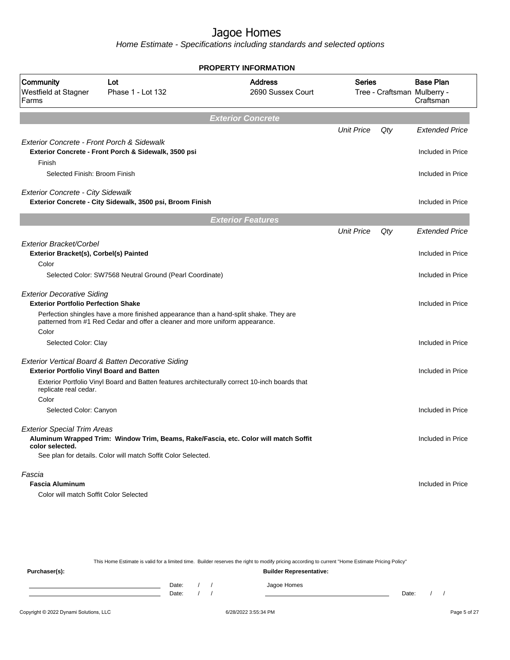Home Estimate - Specifications including standards and selected options

|                                                                   |                                                                                                                                                                       | <b>PROPERTY INFORMATION</b>                                                          |                   |     |                                                              |
|-------------------------------------------------------------------|-----------------------------------------------------------------------------------------------------------------------------------------------------------------------|--------------------------------------------------------------------------------------|-------------------|-----|--------------------------------------------------------------|
| Community<br>Westfield at Stagner<br>Farms                        | Lot<br>Phase 1 - Lot 132                                                                                                                                              | <b>Address</b><br>2690 Sussex Court                                                  | <b>Series</b>     |     | <b>Base Plan</b><br>Tree - Craftsman Mulberry -<br>Craftsman |
|                                                                   |                                                                                                                                                                       | <b>Exterior Concrete</b>                                                             |                   |     |                                                              |
|                                                                   |                                                                                                                                                                       |                                                                                      | <b>Unit Price</b> | Qty | <b>Extended Price</b>                                        |
| Exterior Concrete - Front Porch & Sidewalk<br>Finish              | Exterior Concrete - Front Porch & Sidewalk, 3500 psi                                                                                                                  |                                                                                      |                   |     | Included in Price                                            |
| Selected Finish: Broom Finish                                     |                                                                                                                                                                       |                                                                                      |                   |     | Included in Price                                            |
| <b>Exterior Concrete - City Sidewalk</b>                          | Exterior Concrete - City Sidewalk, 3500 psi, Broom Finish                                                                                                             |                                                                                      |                   |     | Included in Price                                            |
|                                                                   |                                                                                                                                                                       | <b>Exterior Features</b>                                                             |                   |     |                                                              |
|                                                                   |                                                                                                                                                                       |                                                                                      | <b>Unit Price</b> | Qty | <b>Extended Price</b>                                        |
| Exterior Bracket/Corbel<br>Exterior Bracket(s), Corbel(s) Painted |                                                                                                                                                                       |                                                                                      |                   |     | Included in Price                                            |
| Color                                                             |                                                                                                                                                                       |                                                                                      |                   |     |                                                              |
|                                                                   | Selected Color: SW7568 Neutral Ground (Pearl Coordinate)                                                                                                              |                                                                                      |                   |     | Included in Price                                            |
| <b>Exterior Decorative Siding</b>                                 |                                                                                                                                                                       |                                                                                      |                   |     |                                                              |
| <b>Exterior Portfolio Perfection Shake</b>                        |                                                                                                                                                                       |                                                                                      |                   |     | Included in Price                                            |
| Color                                                             | Perfection shingles have a more finished appearance than a hand-split shake. They are<br>patterned from #1 Red Cedar and offer a cleaner and more uniform appearance. |                                                                                      |                   |     |                                                              |
| Selected Color: Clay                                              |                                                                                                                                                                       |                                                                                      |                   |     | Included in Price                                            |
| <b>Exterior Portfolio Vinyl Board and Batten</b>                  | Exterior Vertical Board & Batten Decorative Siding                                                                                                                    |                                                                                      |                   |     | Included in Price                                            |
| replicate real cedar.                                             | Exterior Portfolio Vinyl Board and Batten features architecturally correct 10-inch boards that                                                                        |                                                                                      |                   |     |                                                              |
| Color                                                             |                                                                                                                                                                       |                                                                                      |                   |     |                                                              |
| Selected Color: Canyon                                            |                                                                                                                                                                       |                                                                                      |                   |     | Included in Price                                            |
| <b>Exterior Special Trim Areas</b>                                |                                                                                                                                                                       |                                                                                      |                   |     |                                                              |
| color selected.                                                   |                                                                                                                                                                       | Aluminum Wrapped Trim: Window Trim, Beams, Rake/Fascia, etc. Color will match Soffit |                   |     | Included in Price                                            |
|                                                                   | See plan for details. Color will match Soffit Color Selected.                                                                                                         |                                                                                      |                   |     |                                                              |
| Fascia                                                            |                                                                                                                                                                       |                                                                                      |                   |     |                                                              |
| <b>Fascia Aluminum</b>                                            |                                                                                                                                                                       |                                                                                      |                   |     | Included in Price                                            |
| Color will match Soffit Color Selected                            |                                                                                                                                                                       |                                                                                      |                   |     |                                                              |

This Home Estimate is valid for a limited time. Builder reserves the right to modify pricing according to current "Home Estimate Pricing Policy"

**Purchaser(s): Builder Representative:** Date: / / Jagoe Homes<br>Date: / / Jagoe Homes Date: / / **Date: / / 2006** Date: / / / Date: / / / Date: / / / 2006 Date: / / / 2006 Date: / / / 2006 Date: / / / 2006 Date: / / / 2007 Date: / / / 2007 Date: / / / 2007 Date: / / / 2007 Date: / / / 2007 Date: / / / 2007 D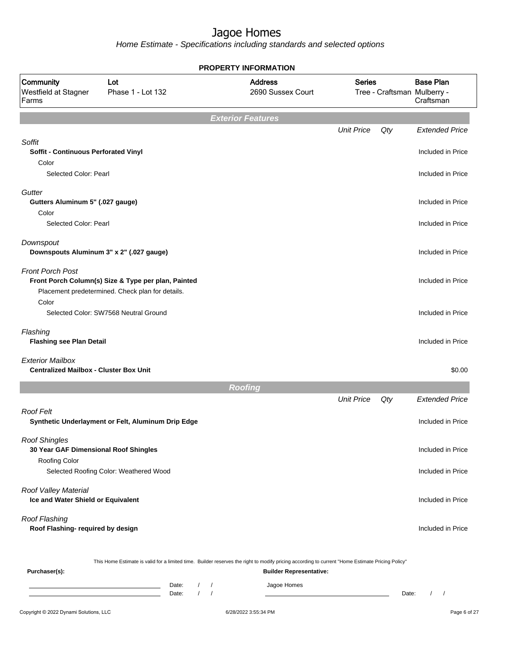Home Estimate - Specifications including standards and selected options

|                                                                                  |                                                                                                         | <b>PROPERTY INFORMATION</b>                                                                                                                                                        |                   |     |                                                              |
|----------------------------------------------------------------------------------|---------------------------------------------------------------------------------------------------------|------------------------------------------------------------------------------------------------------------------------------------------------------------------------------------|-------------------|-----|--------------------------------------------------------------|
| Community<br>Westfield at Stagner<br>Farms                                       | Lot<br>Phase 1 - Lot 132                                                                                | <b>Address</b><br>2690 Sussex Court                                                                                                                                                | <b>Series</b>     |     | <b>Base Plan</b><br>Tree - Craftsman Mulberry -<br>Craftsman |
|                                                                                  |                                                                                                         | <b>Exterior Features</b>                                                                                                                                                           |                   |     |                                                              |
|                                                                                  |                                                                                                         |                                                                                                                                                                                    | <b>Unit Price</b> | Qty | <b>Extended Price</b>                                        |
| Soffit<br>Soffit - Continuous Perforated Vinyl<br>Color<br>Selected Color: Pearl |                                                                                                         |                                                                                                                                                                                    |                   |     | Included in Price<br>Included in Price                       |
| Gutter<br>Gutters Aluminum 5" (.027 gauge)                                       |                                                                                                         |                                                                                                                                                                                    |                   |     | Included in Price                                            |
| Color<br>Selected Color: Pearl                                                   |                                                                                                         |                                                                                                                                                                                    |                   |     | Included in Price                                            |
| Downspout                                                                        | Downspouts Aluminum 3" x 2" (.027 gauge)                                                                |                                                                                                                                                                                    |                   |     | Included in Price                                            |
| <b>Front Porch Post</b>                                                          | Front Porch Column(s) Size & Type per plan, Painted<br>Placement predetermined. Check plan for details. |                                                                                                                                                                                    |                   |     | Included in Price                                            |
| Color                                                                            | Selected Color: SW7568 Neutral Ground                                                                   |                                                                                                                                                                                    |                   |     | Included in Price                                            |
| Flashing<br><b>Flashing see Plan Detail</b>                                      |                                                                                                         |                                                                                                                                                                                    |                   |     | Included in Price                                            |
| <b>Exterior Mailbox</b><br><b>Centralized Mailbox - Cluster Box Unit</b>         |                                                                                                         |                                                                                                                                                                                    |                   |     | \$0.00                                                       |
|                                                                                  |                                                                                                         | Roofing                                                                                                                                                                            |                   |     |                                                              |
|                                                                                  |                                                                                                         |                                                                                                                                                                                    | <b>Unit Price</b> | Qty | <b>Extended Price</b>                                        |
| <b>Roof Felt</b>                                                                 | Synthetic Underlayment or Felt, Aluminum Drip Edge                                                      |                                                                                                                                                                                    |                   |     | Included in Price                                            |
| <b>Roof Shingles</b><br>30 Year GAF Dimensional Roof Shingles                    |                                                                                                         |                                                                                                                                                                                    |                   |     | Included in Price                                            |
| Roofing Color                                                                    | Selected Roofing Color: Weathered Wood                                                                  |                                                                                                                                                                                    |                   |     | Included in Price                                            |
| Roof Valley Material<br>Ice and Water Shield or Equivalent                       |                                                                                                         |                                                                                                                                                                                    |                   |     | Included in Price                                            |
| Roof Flashing<br>Roof Flashing- required by design                               |                                                                                                         |                                                                                                                                                                                    |                   |     | Included in Price                                            |
| Purchaser(s):                                                                    |                                                                                                         | This Home Estimate is valid for a limited time. Builder reserves the right to modify pricing according to current "Home Estimate Pricing Policy"<br><b>Builder Representative:</b> |                   |     |                                                              |

Date: / / Jagoe Homes<br>Date: / / Jagoe Homes Date: / / Date: / /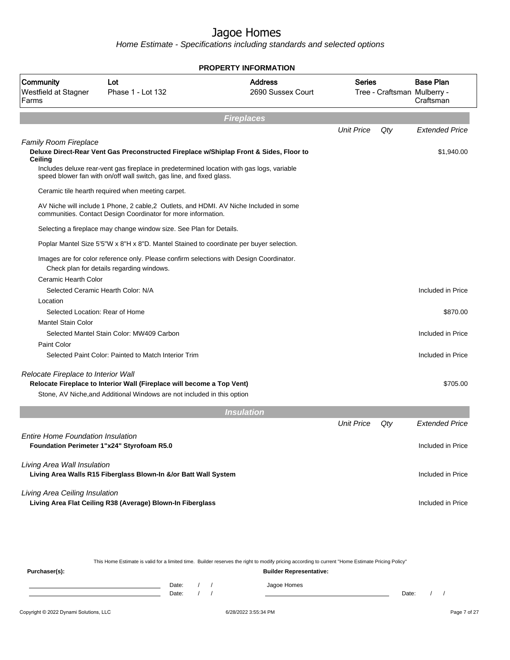Home Estimate - Specifications including standards and selected options

|                                             |                                                                                                                                                                                     | <b>PROPERTY INFORMATION</b>         |                   |     |                                                              |
|---------------------------------------------|-------------------------------------------------------------------------------------------------------------------------------------------------------------------------------------|-------------------------------------|-------------------|-----|--------------------------------------------------------------|
| Community<br>Westfield at Stagner<br>Farms  | Lot<br>Phase 1 - Lot 132                                                                                                                                                            | <b>Address</b><br>2690 Sussex Court | <b>Series</b>     |     | <b>Base Plan</b><br>Tree - Craftsman Mulberry -<br>Craftsman |
|                                             |                                                                                                                                                                                     | <b>Fireplaces</b>                   |                   |     |                                                              |
|                                             |                                                                                                                                                                                     |                                     | <b>Unit Price</b> | Qty | <b>Extended Price</b>                                        |
| <b>Family Room Fireplace</b><br>Ceiling     | Deluxe Direct-Rear Vent Gas Preconstructed Fireplace w/Shiplap Front & Sides, Floor to<br>Includes deluxe rear-vent gas fireplace in predetermined location with gas logs, variable |                                     |                   |     | \$1,940.00                                                   |
|                                             | speed blower fan with on/off wall switch, gas line, and fixed glass.                                                                                                                |                                     |                   |     |                                                              |
|                                             | Ceramic tile hearth required when meeting carpet.                                                                                                                                   |                                     |                   |     |                                                              |
|                                             | AV Niche will include 1 Phone, 2 cable, 2 Outlets, and HDMI. AV Niche Included in some<br>communities. Contact Design Coordinator for more information.                             |                                     |                   |     |                                                              |
|                                             | Selecting a fireplace may change window size. See Plan for Details.                                                                                                                 |                                     |                   |     |                                                              |
|                                             | Poplar Mantel Size 5'5"W x 8"H x 8"D. Mantel Stained to coordinate per buyer selection.                                                                                             |                                     |                   |     |                                                              |
|                                             | Images are for color reference only. Please confirm selections with Design Coordinator.<br>Check plan for details regarding windows.                                                |                                     |                   |     |                                                              |
| Ceramic Hearth Color                        |                                                                                                                                                                                     |                                     |                   |     |                                                              |
|                                             | Selected Ceramic Hearth Color: N/A                                                                                                                                                  |                                     |                   |     | Included in Price                                            |
| Location<br>Selected Location: Rear of Home |                                                                                                                                                                                     |                                     |                   |     | \$870.00                                                     |
| <b>Mantel Stain Color</b>                   |                                                                                                                                                                                     |                                     |                   |     |                                                              |
|                                             | Selected Mantel Stain Color: MW409 Carbon                                                                                                                                           |                                     |                   |     | Included in Price                                            |
| Paint Color                                 |                                                                                                                                                                                     |                                     |                   |     |                                                              |
|                                             | Selected Paint Color: Painted to Match Interior Trim                                                                                                                                |                                     |                   |     | Included in Price                                            |
| Relocate Fireplace to Interior Wall         | Relocate Fireplace to Interior Wall (Fireplace will become a Top Vent)                                                                                                              |                                     |                   |     | \$705.00                                                     |
|                                             | Stone, AV Niche, and Additional Windows are not included in this option                                                                                                             |                                     |                   |     |                                                              |
|                                             |                                                                                                                                                                                     | <b>Insulation</b>                   |                   |     |                                                              |
|                                             |                                                                                                                                                                                     |                                     | <b>Unit Price</b> | Qty | <b>Extended Price</b>                                        |
| <b>Entire Home Foundation Insulation</b>    | Foundation Perimeter 1"x24" Styrofoam R5.0                                                                                                                                          |                                     |                   |     | Included in Price                                            |
| Living Area Wall Insulation                 | Living Area Walls R15 Fiberglass Blown-In &/or Batt Wall System                                                                                                                     |                                     |                   |     | Included in Price                                            |
| Living Area Ceiling Insulation              | Living Area Flat Ceiling R38 (Average) Blown-In Fiberglass                                                                                                                          |                                     |                   |     | Included in Price                                            |
|                                             |                                                                                                                                                                                     |                                     |                   |     |                                                              |

Copyright © 2022 Dynami Solutions, LLC <br>
6/28/2022 3:55:34 PM **Page 7 of 27** This Home Estimate is valid for a limited time. Builder reserves the right to modify pricing according to current "Home Estimate Pricing Policy" **Purchaser(s): Builder Representative:** Date: / / Jagoe Homes<br>Date: / / Jagoe Homes Date: / / Date: / /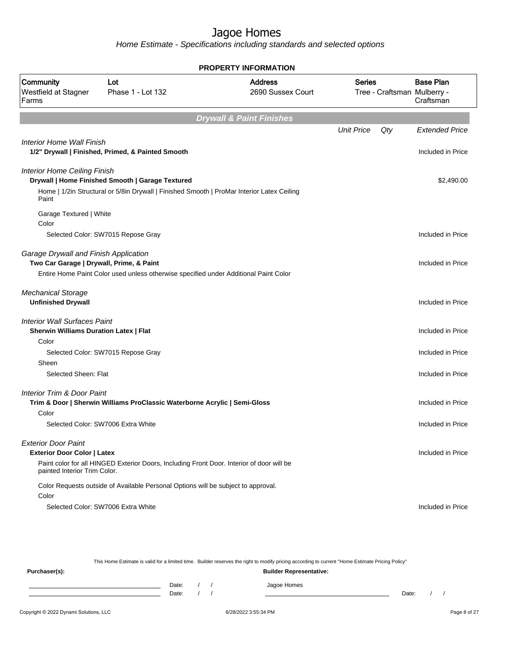Home Estimate - Specifications including standards and selected options

|                                                                                      |                                                                                            | <b>PROPERTY INFORMATION</b>         |                   |                             |                               |
|--------------------------------------------------------------------------------------|--------------------------------------------------------------------------------------------|-------------------------------------|-------------------|-----------------------------|-------------------------------|
| Community<br>Westfield at Stagner<br>Farms                                           | Lot<br>Phase 1 - Lot 132                                                                   | <b>Address</b><br>2690 Sussex Court | <b>Series</b>     | Tree - Craftsman Mulberry - | <b>Base Plan</b><br>Craftsman |
|                                                                                      |                                                                                            | <b>Drywall &amp; Paint Finishes</b> |                   |                             |                               |
|                                                                                      |                                                                                            |                                     | <b>Unit Price</b> | Qty                         | <b>Extended Price</b>         |
| Interior Home Wall Finish                                                            | 1/2" Drywall   Finished, Primed, & Painted Smooth                                          |                                     |                   |                             | Included in Price             |
| <b>Interior Home Ceiling Finish</b>                                                  | Drywall   Home Finished Smooth   Garage Textured                                           |                                     |                   |                             | \$2,490.00                    |
| Paint                                                                                | Home   1/2in Structural or 5/8in Drywall   Finished Smooth   ProMar Interior Latex Ceiling |                                     |                   |                             |                               |
| Garage Textured   White<br>Color                                                     |                                                                                            |                                     |                   |                             |                               |
|                                                                                      | Selected Color: SW7015 Repose Gray                                                         |                                     |                   |                             | Included in Price             |
| Garage Drywall and Finish Application<br>Two Car Garage   Drywall, Prime, & Paint    |                                                                                            |                                     |                   |                             | Included in Price             |
|                                                                                      | Entire Home Paint Color used unless otherwise specified under Additional Paint Color       |                                     |                   |                             |                               |
| <b>Mechanical Storage</b><br><b>Unfinished Drywall</b>                               |                                                                                            |                                     |                   |                             | Included in Price             |
| <b>Interior Wall Surfaces Paint</b><br><b>Sherwin Williams Duration Latex   Flat</b> |                                                                                            |                                     |                   |                             | Included in Price             |
| Color                                                                                |                                                                                            |                                     |                   |                             |                               |
| Sheen                                                                                | Selected Color: SW7015 Repose Gray                                                         |                                     |                   |                             | Included in Price             |
| Selected Sheen: Flat                                                                 |                                                                                            |                                     |                   |                             | Included in Price             |
| <b>Interior Trim &amp; Door Paint</b>                                                | Trim & Door   Sherwin Williams ProClassic Waterborne Acrylic   Semi-Gloss                  |                                     |                   |                             | Included in Price             |
| Color                                                                                |                                                                                            |                                     |                   |                             |                               |
|                                                                                      | Selected Color: SW7006 Extra White                                                         |                                     |                   |                             | Included in Price             |
| <b>Exterior Door Paint</b>                                                           |                                                                                            |                                     |                   |                             |                               |
| <b>Exterior Door Color   Latex</b>                                                   |                                                                                            |                                     |                   |                             | Included in Price             |
| painted Interior Trim Color.                                                         | Paint color for all HINGED Exterior Doors, Including Front Door. Interior of door will be  |                                     |                   |                             |                               |
|                                                                                      | Color Requests outside of Available Personal Options will be subject to approval.          |                                     |                   |                             |                               |
| Color                                                                                | Selected Color: SW7006 Extra White                                                         |                                     |                   |                             | Included in Price             |
|                                                                                      |                                                                                            |                                     |                   |                             |                               |

This Home Estimate is valid for a limited time. Builder reserves the right to modify pricing according to current "Home Estimate Pricing Policy" **Purchaser(s): Builder Representative:** Date: / / Jagoe Homes<br>Date: / / Jagoe Homes Date: / / **Date: / / 2006** Date: / / / Date: / / / Date: / / / 2006 Date: / / / 2006 Date: / / / 2006 Date: / / / 2006 Date: / / / 2007 Date: / / / 2007 Date: / / / 2007 Date: / / / 2007 Date: / / / 2007 Date: / / / 2007 D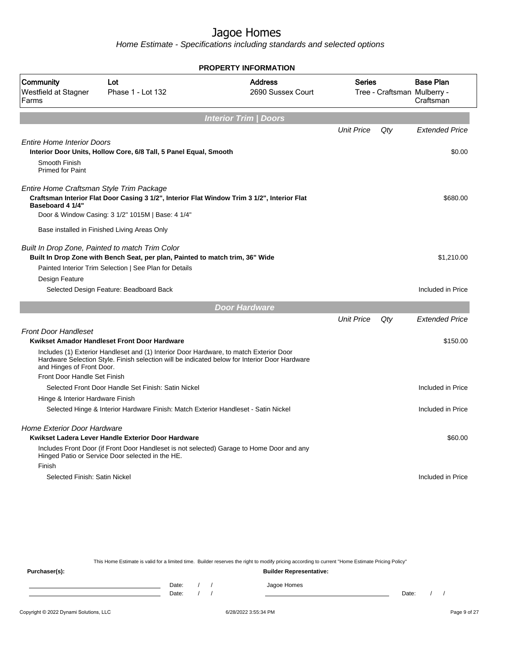Home Estimate - Specifications including standards and selected options

|                                                              |                                                                                                                                                                                            | <b>PROPERTY INFORMATION</b>         |                   |     |                                                              |
|--------------------------------------------------------------|--------------------------------------------------------------------------------------------------------------------------------------------------------------------------------------------|-------------------------------------|-------------------|-----|--------------------------------------------------------------|
| Community<br>Westfield at Stagner<br>Farms                   | Lot<br>Phase 1 - Lot 132                                                                                                                                                                   | <b>Address</b><br>2690 Sussex Court | <b>Series</b>     |     | <b>Base Plan</b><br>Tree - Craftsman Mulberry -<br>Craftsman |
|                                                              |                                                                                                                                                                                            | <b>Interior Trim / Doors</b>        |                   |     |                                                              |
|                                                              |                                                                                                                                                                                            |                                     | <b>Unit Price</b> | Qty | <b>Extended Price</b>                                        |
| <b>Entire Home Interior Doors</b>                            | Interior Door Units, Hollow Core, 6/8 Tall, 5 Panel Equal, Smooth                                                                                                                          |                                     |                   |     | \$0.00                                                       |
| Smooth Finish<br><b>Primed for Paint</b>                     |                                                                                                                                                                                            |                                     |                   |     |                                                              |
| Entire Home Craftsman Style Trim Package<br>Baseboard 4 1/4" | Craftsman Interior Flat Door Casing 3 1/2", Interior Flat Window Trim 3 1/2", Interior Flat<br>Door & Window Casing: 3 1/2" 1015M   Base: 4 1/4"                                           |                                     |                   |     | \$680.00                                                     |
|                                                              | Base installed in Finished Living Areas Only                                                                                                                                               |                                     |                   |     |                                                              |
| Design Feature                                               | Built In Drop Zone, Painted to match Trim Color<br>Built In Drop Zone with Bench Seat, per plan, Painted to match trim, 36" Wide<br>Painted Interior Trim Selection   See Plan for Details |                                     |                   |     | \$1,210.00                                                   |
|                                                              | Selected Design Feature: Beadboard Back                                                                                                                                                    |                                     |                   |     | Included in Price                                            |
|                                                              |                                                                                                                                                                                            | <b>Door Hardware</b>                |                   |     |                                                              |
|                                                              |                                                                                                                                                                                            |                                     | <b>Unit Price</b> | Qty | <b>Extended Price</b>                                        |
| <b>Front Door Handleset</b>                                  | Kwikset Amador Handleset Front Door Hardware<br>Includes (1) Exterior Handleset and (1) Interior Door Hardware, to match Exterior Door                                                     |                                     |                   |     | \$150.00                                                     |
| and Hinges of Front Door.                                    | Hardware Selection Style. Finish selection will be indicated below for Interior Door Hardware                                                                                              |                                     |                   |     |                                                              |
| Front Door Handle Set Finish                                 | Selected Front Door Handle Set Finish: Satin Nickel                                                                                                                                        |                                     |                   |     | Included in Price                                            |
| Hinge & Interior Hardware Finish                             |                                                                                                                                                                                            |                                     |                   |     |                                                              |
|                                                              | Selected Hinge & Interior Hardware Finish: Match Exterior Handleset - Satin Nickel                                                                                                         |                                     |                   |     | Included in Price                                            |
| Home Exterior Door Hardware                                  | Kwikset Ladera Lever Handle Exterior Door Hardware                                                                                                                                         |                                     |                   |     | \$60.00                                                      |
|                                                              | Includes Front Door (if Front Door Handleset is not selected) Garage to Home Door and any<br>Hinged Patio or Service Door selected in the HE.                                              |                                     |                   |     |                                                              |
| Finish                                                       |                                                                                                                                                                                            |                                     |                   |     |                                                              |
| Selected Finish: Satin Nickel                                |                                                                                                                                                                                            |                                     |                   |     | Included in Price                                            |
|                                                              |                                                                                                                                                                                            |                                     |                   |     |                                                              |
|                                                              |                                                                                                                                                                                            |                                     |                   |     |                                                              |

This Home Estimate is valid for a limited time. Builder reserves the right to modify pricing according to current "Home Estimate Pricing Policy" **Purchaser(s): Builder Representative:** Date: / / Jagoe Homes<br>Date: / / Jagoe Homes Date: / / **Date: / / 2006** Date: / / / Date: / / / Date: / / / 2006 Date: / / / 2006 Date: / / / 2006 Date: / / / 2006 Date: / / / 2007 Date: / / / 2007 Date: / / / 2007 Date: / / / 2007 Date: / / / 2007 Date: / / / 2007 D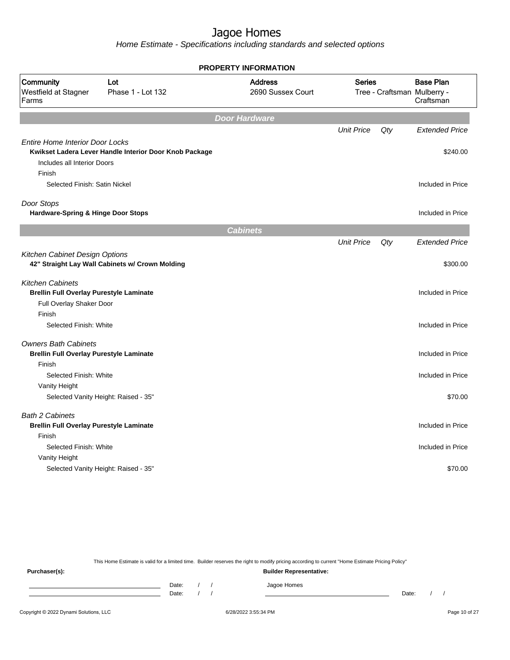Home Estimate - Specifications including standards and selected options

|                                                                                 |                                                        | <b>PROPERTY INFORMATION</b>         |                   |     |                                                              |
|---------------------------------------------------------------------------------|--------------------------------------------------------|-------------------------------------|-------------------|-----|--------------------------------------------------------------|
| Community<br>Westfield at Stagner<br>Farms                                      | Lot<br>Phase 1 - Lot 132                               | <b>Address</b><br>2690 Sussex Court | <b>Series</b>     |     | <b>Base Plan</b><br>Tree - Craftsman Mulberry -<br>Craftsman |
|                                                                                 |                                                        | <b>Door Hardware</b>                |                   |     |                                                              |
|                                                                                 |                                                        |                                     | <b>Unit Price</b> | Qty | <b>Extended Price</b>                                        |
| <b>Entire Home Interior Door Locks</b><br>Includes all Interior Doors<br>Finish | Kwikset Ladera Lever Handle Interior Door Knob Package |                                     |                   |     | \$240.00                                                     |
| Selected Finish: Satin Nickel                                                   |                                                        |                                     |                   |     | Included in Price                                            |
| Door Stops                                                                      |                                                        |                                     |                   |     |                                                              |
| <b>Hardware-Spring &amp; Hinge Door Stops</b>                                   |                                                        |                                     |                   |     | Included in Price                                            |
|                                                                                 |                                                        | <b>Cabinets</b>                     |                   |     |                                                              |
|                                                                                 |                                                        |                                     | <b>Unit Price</b> | Qty | <b>Extended Price</b>                                        |
| Kitchen Cabinet Design Options                                                  | 42" Straight Lay Wall Cabinets w/ Crown Molding        |                                     |                   |     | \$300.00                                                     |
| <b>Kitchen Cabinets</b><br><b>Brellin Full Overlay Purestyle Laminate</b>       |                                                        |                                     |                   |     | Included in Price                                            |
| Full Overlay Shaker Door                                                        |                                                        |                                     |                   |     |                                                              |
| Finish                                                                          |                                                        |                                     |                   |     |                                                              |
| Selected Finish: White                                                          |                                                        |                                     |                   |     | Included in Price                                            |
| <b>Owners Bath Cabinets</b><br><b>Brellin Full Overlay Purestyle Laminate</b>   |                                                        |                                     |                   |     | Included in Price                                            |
| Finish                                                                          |                                                        |                                     |                   |     |                                                              |
| Selected Finish: White                                                          |                                                        |                                     |                   |     | Included in Price                                            |
| Vanity Height                                                                   |                                                        |                                     |                   |     |                                                              |
|                                                                                 | Selected Vanity Height: Raised - 35"                   |                                     |                   |     | \$70.00                                                      |
| <b>Bath 2 Cabinets</b><br><b>Brellin Full Overlay Purestyle Laminate</b>        |                                                        |                                     |                   |     | Included in Price                                            |
| Finish                                                                          |                                                        |                                     |                   |     |                                                              |
| Selected Finish: White                                                          |                                                        |                                     |                   |     | Included in Price                                            |
| Vanity Height                                                                   |                                                        |                                     |                   |     |                                                              |
|                                                                                 | Selected Vanity Height: Raised - 35"                   |                                     |                   |     | \$70.00                                                      |

This Home Estimate is valid for a limited time. Builder reserves the right to modify pricing according to current "Home Estimate Pricing Policy"

**Purchaser(s): Builder Representative:** Date: / / Jagoe Homes<br>Date: / / Jagoe Homes Date: / / **Date: / / 2006** Date: / / / Date: / / / Date: / / / 2006 Date: / / / 2006 Date: / / / 2006 Date: / / / 2006 Date: / / / 2007 Date: / / / 2007 Date: / / / 2007 Date: / / / 2007 Date: / / / 2007 Date: / / / 2007 D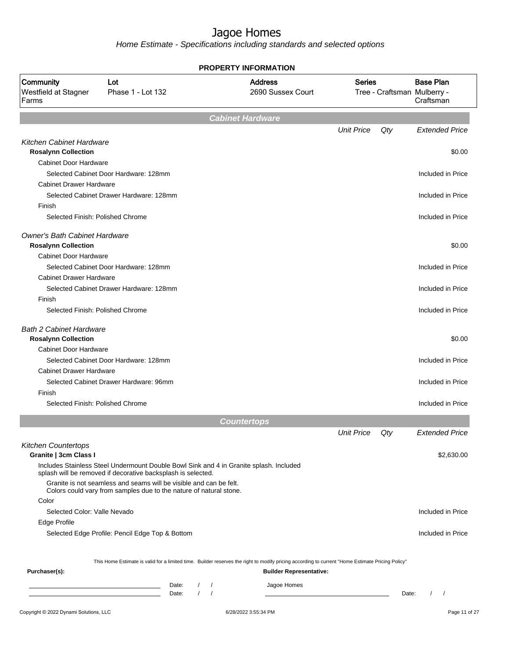|                                                              |                                                                                                                                    | <b>PROPERTY INFORMATION</b>                                                                                                                      |                   |       |                                                              |
|--------------------------------------------------------------|------------------------------------------------------------------------------------------------------------------------------------|--------------------------------------------------------------------------------------------------------------------------------------------------|-------------------|-------|--------------------------------------------------------------|
| Community<br>Westfield at Stagner<br>Farms                   | Lot<br>Phase 1 - Lot 132                                                                                                           | <b>Address</b><br>2690 Sussex Court                                                                                                              | <b>Series</b>     |       | <b>Base Plan</b><br>Tree - Craftsman Mulberry -<br>Craftsman |
|                                                              |                                                                                                                                    | <b>Cabinet Hardware</b>                                                                                                                          |                   |       |                                                              |
|                                                              |                                                                                                                                    |                                                                                                                                                  | <b>Unit Price</b> | Qty   | <b>Extended Price</b>                                        |
| <b>Kitchen Cabinet Hardware</b>                              |                                                                                                                                    |                                                                                                                                                  |                   |       |                                                              |
| <b>Rosalynn Collection</b>                                   |                                                                                                                                    |                                                                                                                                                  |                   |       | \$0.00                                                       |
| <b>Cabinet Door Hardware</b>                                 | Selected Cabinet Door Hardware: 128mm                                                                                              |                                                                                                                                                  |                   |       | Included in Price                                            |
| <b>Cabinet Drawer Hardware</b>                               |                                                                                                                                    |                                                                                                                                                  |                   |       |                                                              |
|                                                              | Selected Cabinet Drawer Hardware: 128mm                                                                                            |                                                                                                                                                  |                   |       | Included in Price                                            |
| Finish                                                       |                                                                                                                                    |                                                                                                                                                  |                   |       |                                                              |
| Selected Finish: Polished Chrome                             |                                                                                                                                    |                                                                                                                                                  |                   |       | Included in Price                                            |
|                                                              |                                                                                                                                    |                                                                                                                                                  |                   |       |                                                              |
| <b>Owner's Bath Cabinet Hardware</b>                         |                                                                                                                                    |                                                                                                                                                  |                   |       |                                                              |
| <b>Rosalynn Collection</b>                                   |                                                                                                                                    |                                                                                                                                                  |                   |       | \$0.00                                                       |
| <b>Cabinet Door Hardware</b>                                 |                                                                                                                                    |                                                                                                                                                  |                   |       |                                                              |
|                                                              | Selected Cabinet Door Hardware: 128mm                                                                                              |                                                                                                                                                  |                   |       | Included in Price                                            |
| <b>Cabinet Drawer Hardware</b>                               |                                                                                                                                    |                                                                                                                                                  |                   |       |                                                              |
|                                                              | Selected Cabinet Drawer Hardware: 128mm                                                                                            |                                                                                                                                                  |                   |       | Included in Price                                            |
| Finish                                                       |                                                                                                                                    |                                                                                                                                                  |                   |       |                                                              |
| Selected Finish: Polished Chrome                             |                                                                                                                                    |                                                                                                                                                  |                   |       | Included in Price                                            |
| <b>Bath 2 Cabinet Hardware</b><br><b>Rosalynn Collection</b> |                                                                                                                                    |                                                                                                                                                  |                   |       | \$0.00                                                       |
| <b>Cabinet Door Hardware</b>                                 |                                                                                                                                    |                                                                                                                                                  |                   |       |                                                              |
|                                                              | Selected Cabinet Door Hardware: 128mm                                                                                              |                                                                                                                                                  |                   |       | Included in Price                                            |
| <b>Cabinet Drawer Hardware</b>                               |                                                                                                                                    |                                                                                                                                                  |                   |       |                                                              |
|                                                              | Selected Cabinet Drawer Hardware: 96mm                                                                                             |                                                                                                                                                  |                   |       | Included in Price                                            |
| Finish                                                       |                                                                                                                                    |                                                                                                                                                  |                   |       |                                                              |
| Selected Finish: Polished Chrome                             |                                                                                                                                    |                                                                                                                                                  |                   |       | Included in Price                                            |
|                                                              |                                                                                                                                    |                                                                                                                                                  |                   |       |                                                              |
|                                                              |                                                                                                                                    | <b>Countertops</b>                                                                                                                               |                   |       |                                                              |
|                                                              |                                                                                                                                    |                                                                                                                                                  | <b>Unit Price</b> | Qty   | Extended Price                                               |
| <b>Kitchen Countertops</b><br>Granite   3cm Class I          |                                                                                                                                    |                                                                                                                                                  |                   |       | \$2,630.00                                                   |
|                                                              | Includes Stainless Steel Undermount Double Bowl Sink and 4 in Granite splash. Included                                             |                                                                                                                                                  |                   |       |                                                              |
|                                                              | splash will be removed if decorative backsplash is selected.<br>Granite is not seamless and seams will be visible and can be felt. |                                                                                                                                                  |                   |       |                                                              |
|                                                              | Colors could vary from samples due to the nature of natural stone.                                                                 |                                                                                                                                                  |                   |       |                                                              |
| Color                                                        |                                                                                                                                    |                                                                                                                                                  |                   |       |                                                              |
| Selected Color: Valle Nevado                                 |                                                                                                                                    |                                                                                                                                                  |                   |       | Included in Price                                            |
| Edge Profile                                                 |                                                                                                                                    |                                                                                                                                                  |                   |       |                                                              |
|                                                              | Selected Edge Profile: Pencil Edge Top & Bottom                                                                                    |                                                                                                                                                  |                   |       | Included in Price                                            |
|                                                              |                                                                                                                                    | This Home Estimate is valid for a limited time. Builder reserves the right to modify pricing according to current "Home Estimate Pricing Policy" |                   |       |                                                              |
| Purchaser(s):                                                |                                                                                                                                    | <b>Builder Representative:</b>                                                                                                                   |                   |       |                                                              |
|                                                              |                                                                                                                                    |                                                                                                                                                  |                   |       |                                                              |
|                                                              | Date:<br>$\sqrt{ }$<br>Date:                                                                                                       | Jagoe Homes<br>$\sqrt{ }$                                                                                                                        |                   | Date: | $\left  \right $                                             |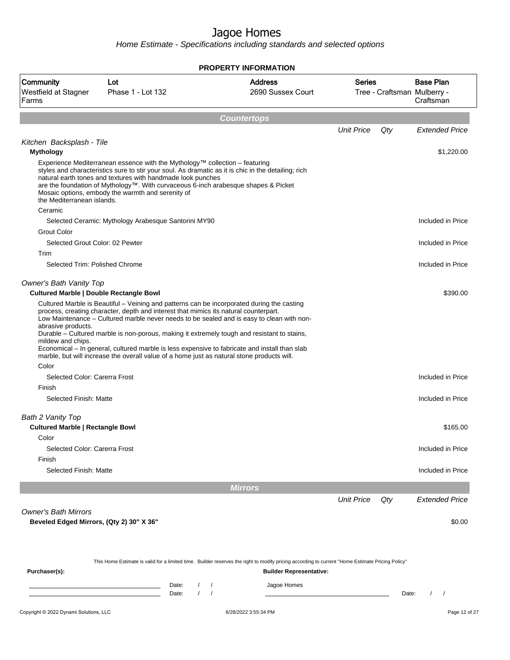|                                                                         |                                                                                                                                                                                                                                                                                                                                                                                                                                                                                 | <b>PROPERTY INFORMATION</b>                                                                                                                                                        |                   |       |                                                              |
|-------------------------------------------------------------------------|---------------------------------------------------------------------------------------------------------------------------------------------------------------------------------------------------------------------------------------------------------------------------------------------------------------------------------------------------------------------------------------------------------------------------------------------------------------------------------|------------------------------------------------------------------------------------------------------------------------------------------------------------------------------------|-------------------|-------|--------------------------------------------------------------|
| <b>Community</b><br>Westfield at Stagner<br>Farms                       | Lot<br>Phase 1 - Lot 132                                                                                                                                                                                                                                                                                                                                                                                                                                                        | <b>Address</b><br>2690 Sussex Court                                                                                                                                                | <b>Series</b>     |       | <b>Base Plan</b><br>Tree - Craftsman Mulberry -<br>Craftsman |
|                                                                         |                                                                                                                                                                                                                                                                                                                                                                                                                                                                                 |                                                                                                                                                                                    |                   |       |                                                              |
|                                                                         |                                                                                                                                                                                                                                                                                                                                                                                                                                                                                 | <b>Countertops</b>                                                                                                                                                                 | <b>Unit Price</b> | Qty   | <b>Extended Price</b>                                        |
| Kitchen Backsplash - Tile                                               |                                                                                                                                                                                                                                                                                                                                                                                                                                                                                 |                                                                                                                                                                                    |                   |       |                                                              |
| <b>Mythology</b>                                                        |                                                                                                                                                                                                                                                                                                                                                                                                                                                                                 |                                                                                                                                                                                    |                   |       | \$1,220.00                                                   |
| the Mediterranean islands.<br>Ceramic                                   | Experience Mediterranean essence with the Mythology™ collection - featuring<br>styles and characteristics sure to stir your soul. As dramatic as it is chic in the detailing; rich<br>natural earth tones and textures with handmade look punches<br>are the foundation of Mythology™. With curvaceous 6-inch arabesque shapes & Picket<br>Mosaic options, embody the warmth and serenity of                                                                                    |                                                                                                                                                                                    |                   |       |                                                              |
|                                                                         | Selected Ceramic: Mythology Arabesque Santorini MY90                                                                                                                                                                                                                                                                                                                                                                                                                            |                                                                                                                                                                                    |                   |       | Included in Price                                            |
| Grout Color                                                             |                                                                                                                                                                                                                                                                                                                                                                                                                                                                                 |                                                                                                                                                                                    |                   |       |                                                              |
| Selected Grout Color: 02 Pewter                                         |                                                                                                                                                                                                                                                                                                                                                                                                                                                                                 |                                                                                                                                                                                    |                   |       | Included in Price                                            |
| Trim<br>Selected Trim: Polished Chrome                                  |                                                                                                                                                                                                                                                                                                                                                                                                                                                                                 |                                                                                                                                                                                    |                   |       | Included in Price                                            |
| <b>Owner's Bath Vanity Top</b>                                          |                                                                                                                                                                                                                                                                                                                                                                                                                                                                                 |                                                                                                                                                                                    |                   |       |                                                              |
| <b>Cultured Marble   Double Rectangle Bowl</b>                          | Cultured Marble is Beautiful – Veining and patterns can be incorporated during the casting                                                                                                                                                                                                                                                                                                                                                                                      |                                                                                                                                                                                    |                   |       | \$390.00                                                     |
| abrasive products.<br>mildew and chips.<br>Color                        | process, creating character, depth and interest that mimics its natural counterpart.<br>Low Maintenance - Cultured marble never needs to be sealed and is easy to clean with non-<br>Durable - Cultured marble is non-porous, making it extremely tough and resistant to stains,<br>Economical – In general, cultured marble is less expensive to fabricate and install than slab<br>marble, but will increase the overall value of a home just as natural stone products will. |                                                                                                                                                                                    |                   |       |                                                              |
| Selected Color: Carerra Frost                                           |                                                                                                                                                                                                                                                                                                                                                                                                                                                                                 |                                                                                                                                                                                    |                   |       | Included in Price                                            |
| Finish                                                                  |                                                                                                                                                                                                                                                                                                                                                                                                                                                                                 |                                                                                                                                                                                    |                   |       |                                                              |
| Selected Finish: Matte                                                  |                                                                                                                                                                                                                                                                                                                                                                                                                                                                                 |                                                                                                                                                                                    |                   |       | Included in Price                                            |
| Bath 2 Vanity Top                                                       |                                                                                                                                                                                                                                                                                                                                                                                                                                                                                 |                                                                                                                                                                                    |                   |       |                                                              |
| <b>Cultured Marble   Rectangle Bowl</b>                                 |                                                                                                                                                                                                                                                                                                                                                                                                                                                                                 |                                                                                                                                                                                    |                   |       | \$165.00                                                     |
| Color                                                                   |                                                                                                                                                                                                                                                                                                                                                                                                                                                                                 |                                                                                                                                                                                    |                   |       |                                                              |
| Selected Color: Carerra Frost                                           |                                                                                                                                                                                                                                                                                                                                                                                                                                                                                 |                                                                                                                                                                                    |                   |       | Included in Price                                            |
| Finish<br>Selected Finish: Matte                                        |                                                                                                                                                                                                                                                                                                                                                                                                                                                                                 |                                                                                                                                                                                    |                   |       | Included in Price                                            |
|                                                                         |                                                                                                                                                                                                                                                                                                                                                                                                                                                                                 |                                                                                                                                                                                    |                   |       |                                                              |
|                                                                         |                                                                                                                                                                                                                                                                                                                                                                                                                                                                                 | <b>Mirrors</b>                                                                                                                                                                     |                   |       |                                                              |
|                                                                         |                                                                                                                                                                                                                                                                                                                                                                                                                                                                                 |                                                                                                                                                                                    | <b>Unit Price</b> | Qty   | <b>Extended Price</b>                                        |
| <b>Owner's Bath Mirrors</b><br>Beveled Edged Mirrors, (Qty 2) 30" X 36" |                                                                                                                                                                                                                                                                                                                                                                                                                                                                                 |                                                                                                                                                                                    |                   |       | \$0.00                                                       |
| Purchaser(s):                                                           |                                                                                                                                                                                                                                                                                                                                                                                                                                                                                 | This Home Estimate is valid for a limited time. Builder reserves the right to modify pricing according to current "Home Estimate Pricing Policy"<br><b>Builder Representative:</b> |                   |       |                                                              |
|                                                                         |                                                                                                                                                                                                                                                                                                                                                                                                                                                                                 |                                                                                                                                                                                    |                   |       |                                                              |
|                                                                         | Date:<br>Date:                                                                                                                                                                                                                                                                                                                                                                                                                                                                  | Jagoe Homes                                                                                                                                                                        |                   | Date: | $\prime$<br>$\sqrt{2}$                                       |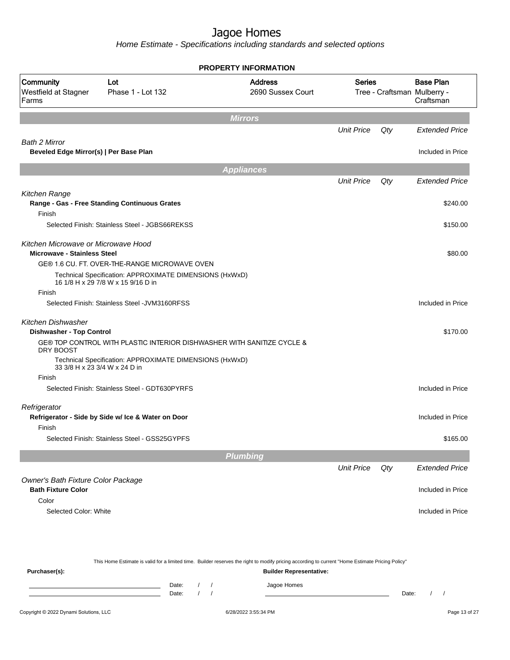Home Estimate - Specifications including standards and selected options

|                                                                           |                                                                                               | <b>PROPERTY INFORMATION</b>         |                   |     |                                                              |
|---------------------------------------------------------------------------|-----------------------------------------------------------------------------------------------|-------------------------------------|-------------------|-----|--------------------------------------------------------------|
| Community<br>Westfield at Stagner<br>Farms                                | Lot<br>Phase 1 - Lot 132                                                                      | <b>Address</b><br>2690 Sussex Court | <b>Series</b>     |     | <b>Base Plan</b><br>Tree - Craftsman Mulberry -<br>Craftsman |
|                                                                           |                                                                                               | <b>Mirrors</b>                      |                   |     |                                                              |
|                                                                           |                                                                                               |                                     | <b>Unit Price</b> | Qty | <b>Extended Price</b>                                        |
| Bath 2 Mirror                                                             |                                                                                               |                                     |                   |     |                                                              |
| Beveled Edge Mirror(s)   Per Base Plan                                    |                                                                                               |                                     |                   |     | Included in Price                                            |
|                                                                           |                                                                                               | <b>Appliances</b>                   |                   |     |                                                              |
|                                                                           |                                                                                               |                                     | <b>Unit Price</b> | Qty | <b>Extended Price</b>                                        |
| Kitchen Range                                                             | Range - Gas - Free Standing Continuous Grates                                                 |                                     |                   |     | \$240.00                                                     |
| Finish                                                                    |                                                                                               |                                     |                   |     |                                                              |
|                                                                           | Selected Finish: Stainless Steel - JGBS66REKSS                                                |                                     |                   |     | \$150.00                                                     |
| Kitchen Microwave or Microwave Hood<br><b>Microwave - Stainless Steel</b> |                                                                                               |                                     |                   |     | \$80.00                                                      |
|                                                                           | GE® 1.6 CU. FT. OVER-THE-RANGE MICROWAVE OVEN                                                 |                                     |                   |     |                                                              |
|                                                                           | Technical Specification: APPROXIMATE DIMENSIONS (HxWxD)<br>16 1/8 H x 29 7/8 W x 15 9/16 D in |                                     |                   |     |                                                              |
| Finish                                                                    |                                                                                               |                                     |                   |     |                                                              |
|                                                                           | Selected Finish: Stainless Steel - JVM3160RFSS                                                |                                     |                   |     | Included in Price                                            |
| <b>Kitchen Dishwasher</b><br><b>Dishwasher - Top Control</b>              |                                                                                               |                                     |                   |     | \$170.00                                                     |
| DRY BOOST                                                                 | GE® TOP CONTROL WITH PLASTIC INTERIOR DISHWASHER WITH SANITIZE CYCLE &                        |                                     |                   |     |                                                              |
| 33 3/8 H x 23 3/4 W x 24 D in                                             | Technical Specification: APPROXIMATE DIMENSIONS (HxWxD)                                       |                                     |                   |     |                                                              |
| Finish                                                                    |                                                                                               |                                     |                   |     |                                                              |
|                                                                           | Selected Finish: Stainless Steel - GDT630PYRFS                                                |                                     |                   |     | Included in Price                                            |
| Refrigerator                                                              |                                                                                               |                                     |                   |     |                                                              |
|                                                                           | Refrigerator - Side by Side w/ Ice & Water on Door                                            |                                     |                   |     | Included in Price                                            |
| Finish                                                                    |                                                                                               |                                     |                   |     |                                                              |
|                                                                           | Selected Finish: Stainless Steel - GSS25GYPFS                                                 |                                     |                   |     | \$165.00                                                     |
|                                                                           |                                                                                               | <b>Plumbing</b>                     |                   |     |                                                              |
|                                                                           |                                                                                               |                                     | <b>Unit Price</b> | Qty | <b>Extended Price</b>                                        |
| Owner's Bath Fixture Color Package<br><b>Bath Fixture Color</b>           |                                                                                               |                                     |                   |     | Included in Price                                            |
| Color                                                                     |                                                                                               |                                     |                   |     |                                                              |
| Selected Color: White                                                     |                                                                                               |                                     |                   |     | Included in Price                                            |
|                                                                           |                                                                                               |                                     |                   |     |                                                              |
|                                                                           |                                                                                               |                                     |                   |     |                                                              |

This Home Estimate is valid for a limited time. Builder reserves the right to modify pricing according to current "Home Estimate Pricing Policy"

**Purchaser(s): Builder Representative:** Date: / / Jagoe Homes<br>Date: / / Jagoe Homes Date: / / Date: / /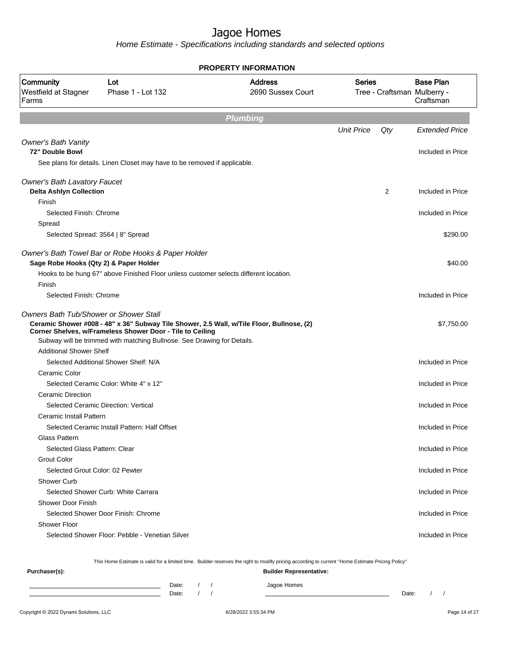Home Estimate - Specifications including standards and selected options

|                                               |                                                                                                                                                                                                                                   | <b>PROPERTY INFORMATION</b>         |                   |     |                                                                                                                                                                      |
|-----------------------------------------------|-----------------------------------------------------------------------------------------------------------------------------------------------------------------------------------------------------------------------------------|-------------------------------------|-------------------|-----|----------------------------------------------------------------------------------------------------------------------------------------------------------------------|
| Community<br>Westfield at Stagner<br>Farms    | Lot<br>Phase 1 - Lot 132                                                                                                                                                                                                          | <b>Address</b><br>2690 Sussex Court | Series            |     | <b>Base Plan</b><br>Tree - Craftsman Mulberry -<br>Craftsman                                                                                                         |
|                                               |                                                                                                                                                                                                                                   | <b>Plumbing</b>                     |                   |     |                                                                                                                                                                      |
|                                               |                                                                                                                                                                                                                                   |                                     | <b>Unit Price</b> | Qty | <b>Extended Price</b>                                                                                                                                                |
| <b>Owner's Bath Vanity</b>                    |                                                                                                                                                                                                                                   |                                     |                   |     |                                                                                                                                                                      |
| 72" Double Bowl                               |                                                                                                                                                                                                                                   |                                     |                   |     | Included in Price                                                                                                                                                    |
|                                               | See plans for details. Linen Closet may have to be removed if applicable.                                                                                                                                                         |                                     |                   |     |                                                                                                                                                                      |
| <b>Owner's Bath Lavatory Faucet</b>           |                                                                                                                                                                                                                                   |                                     |                   |     |                                                                                                                                                                      |
| <b>Delta Ashlyn Collection</b>                |                                                                                                                                                                                                                                   |                                     |                   | 2   | Included in Price                                                                                                                                                    |
| Finish                                        |                                                                                                                                                                                                                                   |                                     |                   |     |                                                                                                                                                                      |
| Selected Finish: Chrome                       |                                                                                                                                                                                                                                   |                                     |                   |     | Included in Price                                                                                                                                                    |
| Spread                                        |                                                                                                                                                                                                                                   |                                     |                   |     |                                                                                                                                                                      |
|                                               | Selected Spread: 3564   8" Spread                                                                                                                                                                                                 |                                     |                   |     | \$290.00                                                                                                                                                             |
|                                               | Owner's Bath Towel Bar or Robe Hooks & Paper Holder                                                                                                                                                                               |                                     |                   |     |                                                                                                                                                                      |
| Sage Robe Hooks (Qty 2) & Paper Holder        |                                                                                                                                                                                                                                   |                                     |                   |     | \$40.00                                                                                                                                                              |
|                                               | Hooks to be hung 67" above Finished Floor unless customer selects different location.                                                                                                                                             |                                     |                   |     |                                                                                                                                                                      |
| Finish                                        |                                                                                                                                                                                                                                   |                                     |                   |     |                                                                                                                                                                      |
| Selected Finish: Chrome                       |                                                                                                                                                                                                                                   |                                     |                   |     | Included in Price                                                                                                                                                    |
| <b>Owners Bath Tub/Shower or Shower Stall</b> | Ceramic Shower #008 - 48" x 36" Subway Tile Shower, 2.5 Wall, w/Tile Floor, Bullnose, (2)<br>Corner Shelves, w/Frameless Shower Door - Tile to Ceiling<br>Subway will be trimmed with matching Bullnose. See Drawing for Details. |                                     |                   |     | \$7,750.00                                                                                                                                                           |
| <b>Additional Shower Shelf</b>                |                                                                                                                                                                                                                                   |                                     |                   |     |                                                                                                                                                                      |
|                                               | Selected Additional Shower Shelf: N/A                                                                                                                                                                                             |                                     |                   |     | Included in Price                                                                                                                                                    |
| Ceramic Color                                 |                                                                                                                                                                                                                                   |                                     |                   |     |                                                                                                                                                                      |
|                                               |                                                                                                                                                                                                                                   |                                     |                   |     |                                                                                                                                                                      |
|                                               | Selected Ceramic Color: White 4" x 12"                                                                                                                                                                                            |                                     |                   |     |                                                                                                                                                                      |
| <b>Ceramic Direction</b>                      |                                                                                                                                                                                                                                   |                                     |                   |     |                                                                                                                                                                      |
|                                               | Selected Ceramic Direction: Vertical                                                                                                                                                                                              |                                     |                   |     |                                                                                                                                                                      |
| Ceramic Install Pattern                       |                                                                                                                                                                                                                                   |                                     |                   |     |                                                                                                                                                                      |
|                                               | Selected Ceramic Install Pattern: Half Offset                                                                                                                                                                                     |                                     |                   |     |                                                                                                                                                                      |
| <b>Glass Pattern</b>                          |                                                                                                                                                                                                                                   |                                     |                   |     |                                                                                                                                                                      |
| Selected Glass Pattern: Clear                 |                                                                                                                                                                                                                                   |                                     |                   |     |                                                                                                                                                                      |
| <b>Grout Color</b>                            |                                                                                                                                                                                                                                   |                                     |                   |     |                                                                                                                                                                      |
| Selected Grout Color: 02 Pewter               |                                                                                                                                                                                                                                   |                                     |                   |     |                                                                                                                                                                      |
| Shower Curb                                   |                                                                                                                                                                                                                                   |                                     |                   |     |                                                                                                                                                                      |
|                                               | Selected Shower Curb: White Carrara                                                                                                                                                                                               |                                     |                   |     |                                                                                                                                                                      |
| Shower Door Finish                            |                                                                                                                                                                                                                                   |                                     |                   |     |                                                                                                                                                                      |
|                                               | Selected Shower Door Finish: Chrome                                                                                                                                                                                               |                                     |                   |     |                                                                                                                                                                      |
| Shower Floor                                  | Selected Shower Floor: Pebble - Venetian Silver                                                                                                                                                                                   |                                     |                   |     | Included in Price<br>Included in Price<br>Included in Price<br>Included in Price<br>Included in Price<br>Included in Price<br>Included in Price<br>Included in Price |

This Home Estimate is valid for a limited time. Builder reserves the right to modify pricing according to current "Home Estimate Pricing Policy"

**Purchaser(s): Builder Representative:** Date: / / Jagoe Homes<br>Date: / / Jagoe Homes Date: / / Date: / /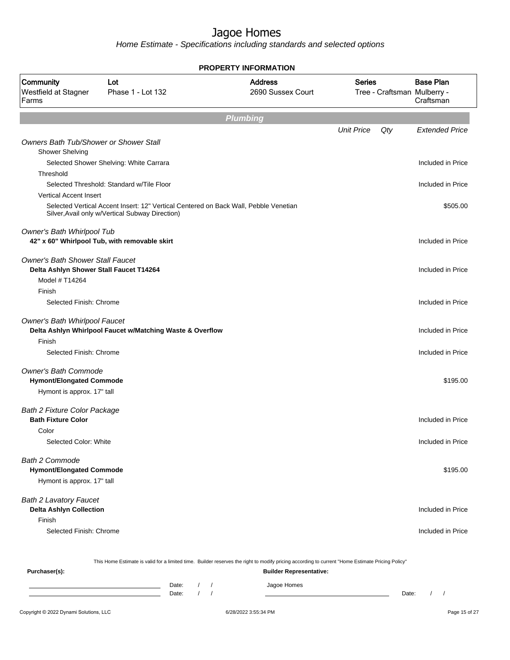Home Estimate - Specifications including standards and selected options

|                                                                  |                                                                                                                                         | <b>PROPERTY INFORMATION</b>         |                   |     |                                                              |
|------------------------------------------------------------------|-----------------------------------------------------------------------------------------------------------------------------------------|-------------------------------------|-------------------|-----|--------------------------------------------------------------|
| Community<br>Westfield at Stagner<br>Farms                       | Lot<br>Phase 1 - Lot 132                                                                                                                | <b>Address</b><br>2690 Sussex Court | <b>Series</b>     |     | <b>Base Plan</b><br>Tree - Craftsman Mulberry -<br>Craftsman |
|                                                                  |                                                                                                                                         | <b>Plumbing</b>                     |                   |     |                                                              |
|                                                                  |                                                                                                                                         |                                     | <b>Unit Price</b> | Qty | <b>Extended Price</b>                                        |
| Owners Bath Tub/Shower or Shower Stall<br><b>Shower Shelving</b> |                                                                                                                                         |                                     |                   |     |                                                              |
|                                                                  | Selected Shower Shelving: White Carrara                                                                                                 |                                     |                   |     | Included in Price                                            |
| Threshold                                                        |                                                                                                                                         |                                     |                   |     |                                                              |
|                                                                  | Selected Threshold: Standard w/Tile Floor                                                                                               |                                     |                   |     | Included in Price                                            |
| <b>Vertical Accent Insert</b>                                    |                                                                                                                                         |                                     |                   |     |                                                              |
|                                                                  | Selected Vertical Accent Insert: 12" Vertical Centered on Back Wall, Pebble Venetian<br>Silver, Avail only w/Vertical Subway Direction) |                                     |                   |     | \$505.00                                                     |
| Owner's Bath Whirlpool Tub                                       | 42" x 60" Whirlpool Tub, with removable skirt                                                                                           |                                     |                   |     | Included in Price                                            |
| <b>Owner's Bath Shower Stall Faucet</b>                          |                                                                                                                                         |                                     |                   |     |                                                              |
| Delta Ashlyn Shower Stall Faucet T14264                          |                                                                                                                                         |                                     |                   |     | Included in Price                                            |
| Model # T14264<br>Finish                                         |                                                                                                                                         |                                     |                   |     |                                                              |
| Selected Finish: Chrome                                          |                                                                                                                                         |                                     |                   |     | Included in Price                                            |
| Owner's Bath Whirlpool Faucet                                    |                                                                                                                                         |                                     |                   |     |                                                              |
|                                                                  | Delta Ashlyn Whirlpool Faucet w/Matching Waste & Overflow                                                                               |                                     |                   |     | Included in Price                                            |
| Finish                                                           |                                                                                                                                         |                                     |                   |     |                                                              |
| Selected Finish: Chrome                                          |                                                                                                                                         |                                     |                   |     | Included in Price                                            |
| <b>Owner's Bath Commode</b><br><b>Hymont/Elongated Commode</b>   |                                                                                                                                         |                                     |                   |     | \$195.00                                                     |
| Hymont is approx. 17" tall                                       |                                                                                                                                         |                                     |                   |     |                                                              |
| <b>Bath 2 Fixture Color Package</b>                              |                                                                                                                                         |                                     |                   |     |                                                              |
| <b>Bath Fixture Color</b>                                        |                                                                                                                                         |                                     |                   |     | Included in Price                                            |
| Color                                                            |                                                                                                                                         |                                     |                   |     |                                                              |
| Selected Color: White                                            |                                                                                                                                         |                                     |                   |     | Included in Price                                            |
| <b>Bath 2 Commode</b>                                            |                                                                                                                                         |                                     |                   |     |                                                              |
| <b>Hymont/Elongated Commode</b>                                  |                                                                                                                                         |                                     |                   |     | \$195.00                                                     |
| Hymont is approx. 17" tall                                       |                                                                                                                                         |                                     |                   |     |                                                              |
| <b>Bath 2 Lavatory Faucet</b>                                    |                                                                                                                                         |                                     |                   |     |                                                              |
| <b>Delta Ashlyn Collection</b>                                   |                                                                                                                                         |                                     |                   |     | Included in Price                                            |
| Finish                                                           |                                                                                                                                         |                                     |                   |     |                                                              |
| Selected Finish: Chrome                                          |                                                                                                                                         |                                     |                   |     | Included in Price                                            |
|                                                                  |                                                                                                                                         |                                     |                   |     |                                                              |
|                                                                  |                                                                                                                                         |                                     |                   |     |                                                              |

This Home Estimate is valid for a limited time. Builder reserves the right to modify pricing according to current "Home Estimate Pricing Policy"

| Purchaser(s): |       |  | <b>Builder Representative:</b> |       |  |  |
|---------------|-------|--|--------------------------------|-------|--|--|
|               | Date: |  | Jagoe Homes                    |       |  |  |
|               | Date: |  |                                | Date: |  |  |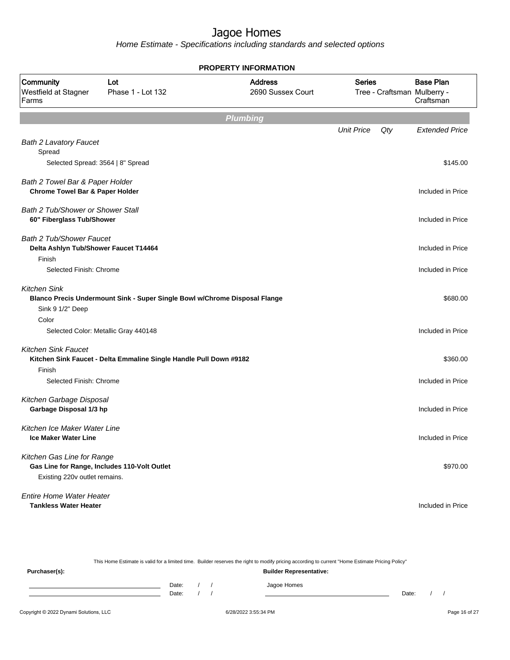|                                            |                                                                            | <b>PROPERTY INFORMATION</b>         |                   |     |                                                              |
|--------------------------------------------|----------------------------------------------------------------------------|-------------------------------------|-------------------|-----|--------------------------------------------------------------|
| Community<br>Westfield at Stagner<br>Farms | Lot<br>Phase 1 - Lot 132                                                   | <b>Address</b><br>2690 Sussex Court | <b>Series</b>     |     | <b>Base Plan</b><br>Tree - Craftsman Mulberry -<br>Craftsman |
|                                            |                                                                            |                                     |                   |     |                                                              |
|                                            |                                                                            | <b>Plumbing</b>                     |                   |     |                                                              |
|                                            |                                                                            |                                     | <b>Unit Price</b> | Qty | <b>Extended Price</b>                                        |
| <b>Bath 2 Lavatory Faucet</b><br>Spread    |                                                                            |                                     |                   |     |                                                              |
| Selected Spread: 3564   8" Spread          |                                                                            |                                     |                   |     | \$145.00                                                     |
|                                            |                                                                            |                                     |                   |     |                                                              |
| Bath 2 Towel Bar & Paper Holder            |                                                                            |                                     |                   |     |                                                              |
| <b>Chrome Towel Bar &amp; Paper Holder</b> |                                                                            |                                     |                   |     | Included in Price                                            |
| <b>Bath 2 Tub/Shower or Shower Stall</b>   |                                                                            |                                     |                   |     |                                                              |
| 60" Fiberglass Tub/Shower                  |                                                                            |                                     |                   |     | Included in Price                                            |
| <b>Bath 2 Tub/Shower Faucet</b>            |                                                                            |                                     |                   |     |                                                              |
| Delta Ashlyn Tub/Shower Faucet T14464      |                                                                            |                                     |                   |     | Included in Price                                            |
| Finish                                     |                                                                            |                                     |                   |     |                                                              |
| Selected Finish: Chrome                    |                                                                            |                                     |                   |     | Included in Price                                            |
| <b>Kitchen Sink</b>                        |                                                                            |                                     |                   |     |                                                              |
|                                            | Blanco Precis Undermount Sink - Super Single Bowl w/Chrome Disposal Flange |                                     |                   |     | \$680.00                                                     |
| Sink 9 1/2" Deep                           |                                                                            |                                     |                   |     |                                                              |
| Color                                      |                                                                            |                                     |                   |     |                                                              |
|                                            | Selected Color: Metallic Gray 440148                                       |                                     |                   |     | Included in Price                                            |
| <b>Kitchen Sink Faucet</b>                 |                                                                            |                                     |                   |     |                                                              |
|                                            | Kitchen Sink Faucet - Delta Emmaline Single Handle Pull Down #9182         |                                     |                   |     | \$360.00                                                     |
| Finish                                     |                                                                            |                                     |                   |     |                                                              |
| Selected Finish: Chrome                    |                                                                            |                                     |                   |     | Included in Price                                            |
| Kitchen Garbage Disposal                   |                                                                            |                                     |                   |     |                                                              |
| Garbage Disposal 1/3 hp                    |                                                                            |                                     |                   |     | Included in Price                                            |
| Kitchen Ice Maker Water Line               |                                                                            |                                     |                   |     |                                                              |
| Ice Maker Water Line                       |                                                                            |                                     |                   |     | Included in Price                                            |
|                                            |                                                                            |                                     |                   |     |                                                              |
| Kitchen Gas Line for Range                 |                                                                            |                                     |                   |     |                                                              |
| Existing 220v outlet remains.              | Gas Line for Range, Includes 110-Volt Outlet                               |                                     |                   |     | \$970.00                                                     |
|                                            |                                                                            |                                     |                   |     |                                                              |
| <b>Entire Home Water Heater</b>            |                                                                            |                                     |                   |     |                                                              |
| <b>Tankless Water Heater</b>               |                                                                            |                                     |                   |     | Included in Price                                            |

| This Home Estimate is valid for a limited time. Builder reserves the right to modify pricing according to current "Home Estimate Pricing Policy" |                                |  |  |             |       |  |  |
|--------------------------------------------------------------------------------------------------------------------------------------------------|--------------------------------|--|--|-------------|-------|--|--|
| Purchaser(s):                                                                                                                                    | <b>Builder Representative:</b> |  |  |             |       |  |  |
|                                                                                                                                                  | Date:                          |  |  | Jagoe Homes |       |  |  |
|                                                                                                                                                  | Date:                          |  |  |             | Date: |  |  |
|                                                                                                                                                  |                                |  |  |             |       |  |  |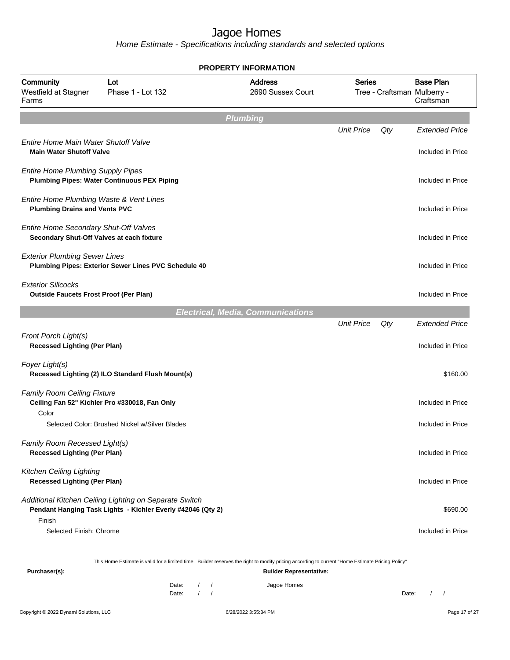|                                                                                    |                                                                                                                                                                                           |                                        | <b>PROPERTY INFORMATION</b>              |                   |       |                                                              |
|------------------------------------------------------------------------------------|-------------------------------------------------------------------------------------------------------------------------------------------------------------------------------------------|----------------------------------------|------------------------------------------|-------------------|-------|--------------------------------------------------------------|
| Community<br>Westfield at Stagner<br>Farms                                         | Lot<br>Phase 1 - Lot 132                                                                                                                                                                  |                                        | <b>Address</b><br>2690 Sussex Court      | <b>Series</b>     |       | <b>Base Plan</b><br>Tree - Craftsman Mulberry -<br>Craftsman |
|                                                                                    |                                                                                                                                                                                           | <b>Plumbing</b>                        |                                          |                   |       |                                                              |
| Entire Home Main Water Shutoff Valve<br><b>Main Water Shutoff Valve</b>            |                                                                                                                                                                                           |                                        |                                          | <b>Unit Price</b> | Qty   | <b>Extended Price</b><br>Included in Price                   |
| <b>Entire Home Plumbing Supply Pipes</b>                                           | <b>Plumbing Pipes: Water Continuous PEX Piping</b>                                                                                                                                        |                                        |                                          |                   |       | Included in Price                                            |
| Entire Home Plumbing Waste & Vent Lines<br><b>Plumbing Drains and Vents PVC</b>    |                                                                                                                                                                                           |                                        |                                          |                   |       | Included in Price                                            |
| Entire Home Secondary Shut-Off Valves<br>Secondary Shut-Off Valves at each fixture |                                                                                                                                                                                           |                                        |                                          |                   |       | Included in Price                                            |
| <b>Exterior Plumbing Sewer Lines</b>                                               | Plumbing Pipes: Exterior Sewer Lines PVC Schedule 40                                                                                                                                      |                                        |                                          |                   |       | Included in Price                                            |
| <b>Exterior Sillcocks</b><br><b>Outside Faucets Frost Proof (Per Plan)</b>         |                                                                                                                                                                                           |                                        |                                          |                   |       | Included in Price                                            |
|                                                                                    |                                                                                                                                                                                           |                                        | <b>Electrical, Media, Communications</b> |                   |       |                                                              |
| Front Porch Light(s)<br><b>Recessed Lighting (Per Plan)</b>                        |                                                                                                                                                                                           |                                        |                                          | <b>Unit Price</b> | Qty   | <b>Extended Price</b><br>Included in Price                   |
| Foyer Light(s)                                                                     | Recessed Lighting (2) ILO Standard Flush Mount(s)                                                                                                                                         |                                        |                                          |                   |       | \$160.00                                                     |
| Family Room Ceiling Fixture<br>Color                                               | Ceiling Fan 52" Kichler Pro #330018, Fan Only                                                                                                                                             |                                        |                                          |                   |       | Included in Price                                            |
|                                                                                    | Selected Color: Brushed Nickel w/Silver Blades                                                                                                                                            |                                        |                                          |                   |       | Included in Price                                            |
| Family Room Recessed Light(s)<br><b>Recessed Lighting (Per Plan)</b>               |                                                                                                                                                                                           |                                        |                                          |                   |       | Included in Price                                            |
| Kitchen Ceiling Lighting<br><b>Recessed Lighting (Per Plan)</b>                    |                                                                                                                                                                                           |                                        |                                          |                   |       | Included in Price                                            |
| Finish                                                                             | Additional Kitchen Ceiling Lighting on Separate Switch<br>Pendant Hanging Task Lights - Kichler Everly #42046 (Qty 2)                                                                     |                                        |                                          |                   |       | \$690.00                                                     |
| Selected Finish: Chrome                                                            |                                                                                                                                                                                           |                                        |                                          |                   |       | Included in Price                                            |
| Purchaser(s):                                                                      | This Home Estimate is valid for a limited time. Builder reserves the right to modify pricing according to current "Home Estimate Pricing Policy"                                          |                                        | <b>Builder Representative:</b>           |                   |       |                                                              |
|                                                                                    | Date:<br><u> 1989 - Johann Barn, mars ann an t-Amhair an t-Amhair an t-Amhair an t-Amhair an t-Amhair an t-Amhair an t-A</u><br>Date:<br>the control of the control of the control of the | $\sqrt{ }$<br>$\sqrt{ }$<br>$\sqrt{ }$ | Jagoe Homes                              |                   | Date: | $1 \quad 1$                                                  |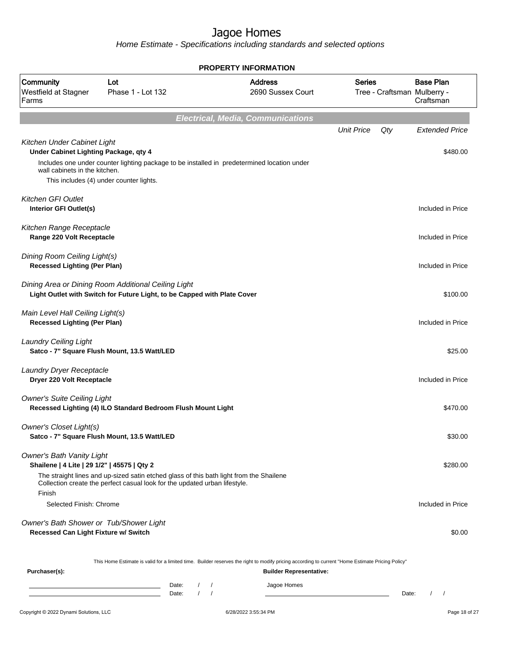|                                                                                 |                                                                                                                                                                       | <b>PROPERTY INFORMATION</b>              |                                               |                   |        |                                                              |
|---------------------------------------------------------------------------------|-----------------------------------------------------------------------------------------------------------------------------------------------------------------------|------------------------------------------|-----------------------------------------------|-------------------|--------|--------------------------------------------------------------|
| Community<br>Westfield at Stagner<br>Farms                                      | Lot<br>Phase 1 - Lot 132                                                                                                                                              |                                          | <b>Address</b><br>2690 Sussex Court           | <b>Series</b>     |        | <b>Base Plan</b><br>Tree - Craftsman Mulberry -<br>Craftsman |
|                                                                                 |                                                                                                                                                                       | <b>Electrical, Media, Communications</b> |                                               |                   |        |                                                              |
| Kitchen Under Cabinet Light                                                     |                                                                                                                                                                       |                                          |                                               | <b>Unit Price</b> | $Q$ ty | <b>Extended Price</b>                                        |
| Under Cabinet Lighting Package, qty 4                                           | Includes one under counter lighting package to be installed in predetermined location under                                                                           |                                          |                                               |                   |        | \$480.00                                                     |
| wall cabinets in the kitchen.                                                   | This includes (4) under counter lights.                                                                                                                               |                                          |                                               |                   |        |                                                              |
|                                                                                 |                                                                                                                                                                       |                                          |                                               |                   |        |                                                              |
| <b>Kitchen GFI Outlet</b><br>Interior GFI Outlet(s)                             |                                                                                                                                                                       |                                          |                                               |                   |        | Included in Price                                            |
| Kitchen Range Receptacle<br>Range 220 Volt Receptacle                           |                                                                                                                                                                       |                                          |                                               |                   |        | Included in Price                                            |
| Dining Room Ceiling Light(s)<br><b>Recessed Lighting (Per Plan)</b>             |                                                                                                                                                                       |                                          |                                               |                   |        | Included in Price                                            |
|                                                                                 | Dining Area or Dining Room Additional Ceiling Light<br>Light Outlet with Switch for Future Light, to be Capped with Plate Cover                                       |                                          |                                               |                   |        | \$100.00                                                     |
| Main Level Hall Ceiling Light(s)<br><b>Recessed Lighting (Per Plan)</b>         |                                                                                                                                                                       |                                          |                                               |                   |        | Included in Price                                            |
| <b>Laundry Ceiling Light</b>                                                    | Satco - 7" Square Flush Mount, 13.5 Watt/LED                                                                                                                          |                                          |                                               |                   |        | \$25.00                                                      |
| Laundry Dryer Receptacle<br>Dryer 220 Volt Receptacle                           |                                                                                                                                                                       |                                          |                                               |                   |        | Included in Price                                            |
| <b>Owner's Suite Ceiling Light</b>                                              | Recessed Lighting (4) ILO Standard Bedroom Flush Mount Light                                                                                                          |                                          |                                               |                   |        | \$470.00                                                     |
| Owner's Closet Light(s)                                                         | Satco - 7" Square Flush Mount, 13.5 Watt/LED                                                                                                                          |                                          |                                               |                   |        | \$30.00                                                      |
| <b>Owner's Bath Vanity Light</b><br>Shailene   4 Lite   29 1/2"   45575   Qty 2 |                                                                                                                                                                       |                                          |                                               |                   |        | \$280.00                                                     |
| Finish                                                                          | The straight lines and up-sized satin etched glass of this bath light from the Shailene<br>Collection create the perfect casual look for the updated urban lifestyle. |                                          |                                               |                   |        |                                                              |
| Selected Finish: Chrome                                                         |                                                                                                                                                                       |                                          |                                               |                   |        | Included in Price                                            |
| Owner's Bath Shower or Tub/Shower Light<br>Recessed Can Light Fixture w/ Switch |                                                                                                                                                                       |                                          |                                               |                   |        | \$0.00                                                       |
|                                                                                 | This Home Estimate is valid for a limited time. Builder reserves the right to modify pricing according to current "Home Estimate Pricing Policy"                      |                                          |                                               |                   |        |                                                              |
| Purchaser(s):                                                                   | Date:                                                                                                                                                                 |                                          | <b>Builder Representative:</b><br>Jagoe Homes |                   |        |                                                              |
|                                                                                 | Date:                                                                                                                                                                 |                                          |                                               |                   | Date:  | $1 \quad 1$                                                  |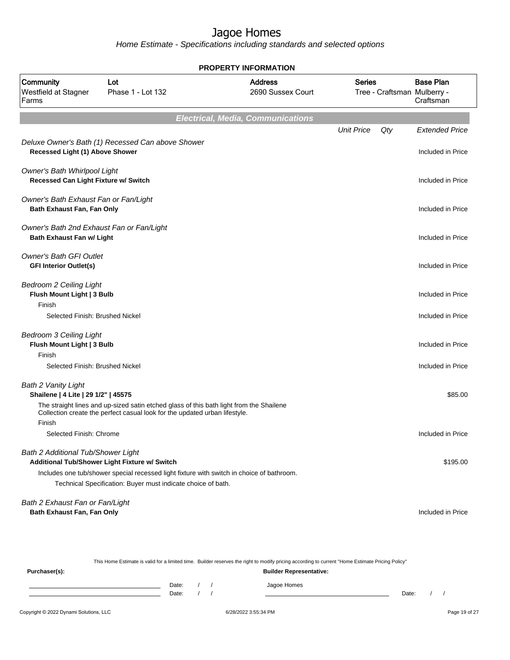Home Estimate - Specifications including standards and selected options

**Electrical, Media, Communications** Unit Price Qty Extended Price Deluxe Owner's Bath (1) Recessed Can above Shower **Recessed Light (1) Above Shower** Included in Price Owner's Bath Whirlpool Light **Recessed Can Light Fixture w/ Switch** Included in Price Owner's Bath Exhaust Fan or Fan/Light **Bath Exhaust Fan, Fan Only Included in Price** Owner's Bath 2nd Exhaust Fan or Fan/Light **Bath Exhaust Fan w/ Light** Included in Price Owner's Bath GFI Outlet **GFI Interior Outlet(s)** Included in Price Bedroom 2 Ceiling Light **Flush Mount Light | 3 Bulb Included in Price** Finish Selected Finish: Brushed Nickel Included in Price Bedroom 3 Ceiling Light **Flush Mount Light | 3 Bulb Included in Price** Finish Selected Finish: Brushed Nickel Included in Price Bath 2 Vanity Light **Shailene | 4 Lite | 29 1/2" | 45575** \$85.00 The straight lines and up-sized satin etched glass of this bath light from the Shailene Collection create the perfect casual look for the updated urban lifestyle. Finish Selected Finish: Chrome **Included in Price** Bath 2 Additional Tub/Shower Light **Additional Tub/Shower Light Fixture w/ Switch \$195.00 and \$195.00 \$195.00 \$195.00 \$195.00 \$195.00 \$195.00 \$195.00 \$195.00 \$195.00 \$195.00 \$195.00 \$195.00 \$195.00 \$195.00 \$195.00 \$195.00 \$195.00 \$195.00 \$195.00 \$195.00 \$19** Includes one tub/shower special recessed light fixture with switch in choice of bathroom. Technical Specification: Buyer must indicate choice of bath. Bath 2 Exhaust Fan or Fan/Light **Bath Exhaust Fan, Fan Only Included in Price PROPERTY INFORMATION** Tree - Craftsman Mulberry - Series 2690 Sussex Court Address Westfield at Stagner Phase 1 - Lot 132 Farms Community Lot Craftsman Base Plan

This Home Estimate is valid for a limited time. Builder reserves the right to modify pricing according to current "Home Estimate Pricing Policy" **Purchaser(s): Builder Representative:** Date: / / / Jagoe Homes Date: / / Date: / /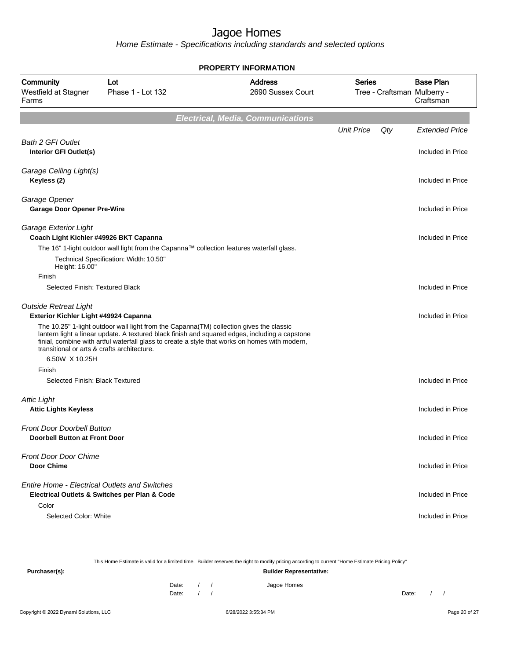| <b>PROPERTY INFORMATION</b>                                           |                                                                                                                                                                                                                                                                                             |                                          |                                              |     |                               |  |  |
|-----------------------------------------------------------------------|---------------------------------------------------------------------------------------------------------------------------------------------------------------------------------------------------------------------------------------------------------------------------------------------|------------------------------------------|----------------------------------------------|-----|-------------------------------|--|--|
| Community<br>Westfield at Stagner<br>Farms                            | Lot<br>Phase 1 - Lot 132                                                                                                                                                                                                                                                                    | <b>Address</b><br>2690 Sussex Court      | <b>Series</b><br>Tree - Craftsman Mulberry - |     | <b>Base Plan</b><br>Craftsman |  |  |
|                                                                       |                                                                                                                                                                                                                                                                                             | <b>Electrical, Media, Communications</b> |                                              |     |                               |  |  |
|                                                                       |                                                                                                                                                                                                                                                                                             |                                          | <b>Unit Price</b>                            | Qty | <b>Extended Price</b>         |  |  |
| <b>Bath 2 GFI Outlet</b><br>Interior GFI Outlet(s)                    |                                                                                                                                                                                                                                                                                             |                                          |                                              |     | Included in Price             |  |  |
| Garage Ceiling Light(s)<br>Keyless (2)                                |                                                                                                                                                                                                                                                                                             |                                          |                                              |     | Included in Price             |  |  |
| Garage Opener<br><b>Garage Door Opener Pre-Wire</b>                   |                                                                                                                                                                                                                                                                                             |                                          |                                              |     | Included in Price             |  |  |
| Garage Exterior Light<br>Coach Light Kichler #49926 BKT Capanna       |                                                                                                                                                                                                                                                                                             |                                          |                                              |     | Included in Price             |  |  |
| Height: 16.00"                                                        | The 16" 1-light outdoor wall light from the Capanna™ collection features waterfall glass.<br>Technical Specification: Width: 10.50"                                                                                                                                                         |                                          |                                              |     |                               |  |  |
| Finish                                                                |                                                                                                                                                                                                                                                                                             |                                          |                                              |     |                               |  |  |
| Selected Finish: Textured Black                                       |                                                                                                                                                                                                                                                                                             |                                          |                                              |     | Included in Price             |  |  |
| <b>Outside Retreat Light</b><br>Exterior Kichler Light #49924 Capanna |                                                                                                                                                                                                                                                                                             |                                          |                                              |     | Included in Price             |  |  |
| transitional or arts & crafts architecture.                           | The 10.25" 1-light outdoor wall light from the Capanna(TM) collection gives the classic<br>lantern light a linear update. A textured black finish and squared edges, including a capstone<br>finial, combine with artful waterfall glass to create a style that works on homes with modern, |                                          |                                              |     |                               |  |  |
| 6.50W X 10.25H<br>Finish                                              |                                                                                                                                                                                                                                                                                             |                                          |                                              |     |                               |  |  |
| Selected Finish: Black Textured                                       |                                                                                                                                                                                                                                                                                             |                                          |                                              |     | Included in Price             |  |  |
| <b>Attic Light</b><br><b>Attic Lights Keyless</b>                     |                                                                                                                                                                                                                                                                                             |                                          |                                              |     | Included in Price             |  |  |
| <b>Front Door Doorbell Button</b><br>Doorbell Button at Front Door    |                                                                                                                                                                                                                                                                                             |                                          |                                              |     | Included in Price             |  |  |
| <b>Front Door Door Chime</b><br>Door Chime                            |                                                                                                                                                                                                                                                                                             |                                          |                                              |     | Included in Price             |  |  |
| Entire Home - Electrical Outlets and Switches                         | Electrical Outlets & Switches per Plan & Code                                                                                                                                                                                                                                               |                                          |                                              |     | Included in Price             |  |  |
| Color<br>Selected Color: White                                        |                                                                                                                                                                                                                                                                                             |                                          |                                              |     | Included in Price             |  |  |

| This Home Estimate is valid for a limited time. Builder reserves the right to modify pricing according to current "Home Estimate Pricing Policy" |       |  |  |                                |       |  |  |
|--------------------------------------------------------------------------------------------------------------------------------------------------|-------|--|--|--------------------------------|-------|--|--|
| Purchaser(s):                                                                                                                                    |       |  |  | <b>Builder Representative:</b> |       |  |  |
|                                                                                                                                                  | Date: |  |  | Jagoe Homes                    |       |  |  |
|                                                                                                                                                  | Date: |  |  |                                | Date: |  |  |
|                                                                                                                                                  |       |  |  |                                |       |  |  |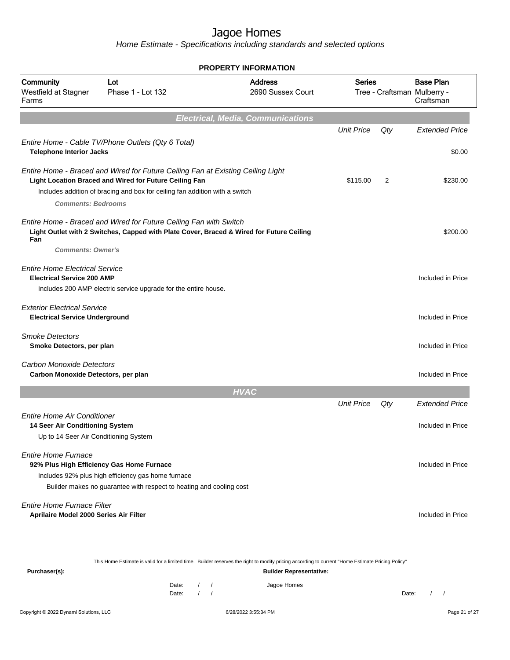Home Estimate - Specifications including standards and selected options

|                                                                                                                |                                                                                                                                                                                                                          | <b>PROPERTY INFORMATION</b>                                                                                                                      |                   |     |                                                              |
|----------------------------------------------------------------------------------------------------------------|--------------------------------------------------------------------------------------------------------------------------------------------------------------------------------------------------------------------------|--------------------------------------------------------------------------------------------------------------------------------------------------|-------------------|-----|--------------------------------------------------------------|
| Community<br>Westfield at Stagner<br>Farms                                                                     | Lot<br>Phase 1 - Lot 132                                                                                                                                                                                                 | <b>Address</b><br>2690 Sussex Court                                                                                                              | <b>Series</b>     |     | <b>Base Plan</b><br>Tree - Craftsman Mulberry -<br>Craftsman |
|                                                                                                                |                                                                                                                                                                                                                          | <b>Electrical, Media, Communications</b>                                                                                                         |                   |     |                                                              |
|                                                                                                                |                                                                                                                                                                                                                          |                                                                                                                                                  | <b>Unit Price</b> | Qty | <b>Extended Price</b>                                        |
| <b>Telephone Interior Jacks</b>                                                                                | Entire Home - Cable TV/Phone Outlets (Qty 6 Total)                                                                                                                                                                       |                                                                                                                                                  |                   |     | \$0.00                                                       |
| <b>Comments: Bedrooms</b>                                                                                      | Entire Home - Braced and Wired for Future Ceiling Fan at Existing Ceiling Light<br>Light Location Braced and Wired for Future Ceiling Fan<br>Includes addition of bracing and box for ceiling fan addition with a switch |                                                                                                                                                  | \$115.00          | 2   | \$230.00                                                     |
| Fan<br><b>Comments: Owner's</b>                                                                                | Entire Home - Braced and Wired for Future Ceiling Fan with Switch<br>Light Outlet with 2 Switches, Capped with Plate Cover, Braced & Wired for Future Ceiling                                                            |                                                                                                                                                  |                   |     | \$200.00                                                     |
| <b>Entire Home Electrical Service</b><br><b>Electrical Service 200 AMP</b>                                     | Includes 200 AMP electric service upgrade for the entire house.                                                                                                                                                          |                                                                                                                                                  |                   |     | Included in Price                                            |
| <b>Exterior Electrical Service</b><br><b>Electrical Service Underground</b>                                    |                                                                                                                                                                                                                          |                                                                                                                                                  |                   |     | Included in Price                                            |
| <b>Smoke Detectors</b><br>Smoke Detectors, per plan                                                            |                                                                                                                                                                                                                          |                                                                                                                                                  |                   |     | Included in Price                                            |
| Carbon Monoxide Detectors<br>Carbon Monoxide Detectors, per plan                                               |                                                                                                                                                                                                                          |                                                                                                                                                  |                   |     | Included in Price                                            |
|                                                                                                                |                                                                                                                                                                                                                          | <b>HVAC</b>                                                                                                                                      |                   |     |                                                              |
|                                                                                                                |                                                                                                                                                                                                                          |                                                                                                                                                  | <b>Unit Price</b> | Qty | <b>Extended Price</b>                                        |
| <b>Entire Home Air Conditioner</b><br>14 Seer Air Conditioning System<br>Up to 14 Seer Air Conditioning System |                                                                                                                                                                                                                          |                                                                                                                                                  |                   |     | Included in Price                                            |
| <b>Entire Home Furnace</b>                                                                                     | 92% Plus High Efficiency Gas Home Furnace<br>Includes 92% plus high efficiency gas home furnace<br>Builder makes no guarantee with respect to heating and cooling cost                                                   |                                                                                                                                                  |                   |     | Included in Price                                            |
| Entire Home Furnace Filter<br>Aprilaire Model 2000 Series Air Filter                                           |                                                                                                                                                                                                                          |                                                                                                                                                  |                   |     | Included in Price                                            |
|                                                                                                                |                                                                                                                                                                                                                          | This Home Estimate is valid for a limited time. Builder reserves the right to modify pricing according to current "Home Estimate Pricing Policy" |                   |     |                                                              |
| Purchaser(s):                                                                                                  |                                                                                                                                                                                                                          | <b>Builder Representative:</b>                                                                                                                   |                   |     |                                                              |

Date: / / Jagoe Homes<br>Date: / / Jagoe Homes Date: / / **Date: / / 2006** Date: / / / Date: / / / Date: / / / 2006 Date: / / / 2006 Date: / / / 2006 Date: / / / 2006 Date: / / / 2007 Date: / / / 2007 Date: / / / 2007 Date: / / / 2007 Date: / / / 2007 Date: / / / 2007 D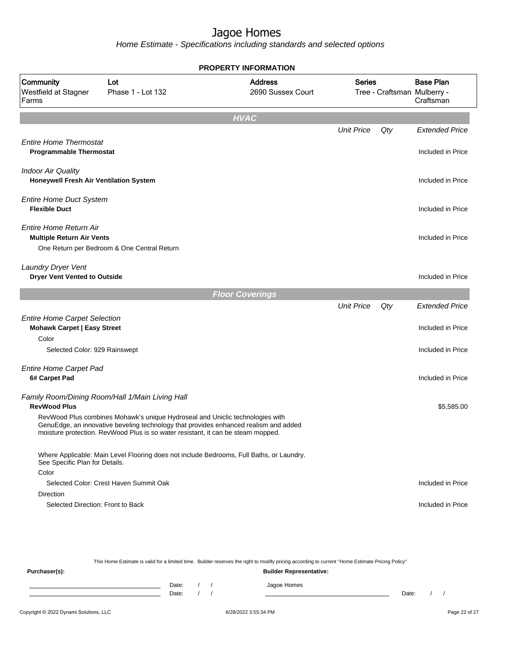Home Estimate - Specifications including standards and selected options

|                                                                                                                     | <b>PROPERTY INFORMATION</b>                                                                                                                                                                                                                                                                                  |                                     |                   |     |                                                                 |  |  |  |
|---------------------------------------------------------------------------------------------------------------------|--------------------------------------------------------------------------------------------------------------------------------------------------------------------------------------------------------------------------------------------------------------------------------------------------------------|-------------------------------------|-------------------|-----|-----------------------------------------------------------------|--|--|--|
| Community<br>Westfield at Stagner<br>Farms                                                                          | Lot<br>Phase 1 - Lot 132                                                                                                                                                                                                                                                                                     | <b>Address</b><br>2690 Sussex Court | <b>Series</b>     |     | <b>Base Plan</b><br>Tree - Craftsman Mulberry -<br>Craftsman    |  |  |  |
|                                                                                                                     |                                                                                                                                                                                                                                                                                                              | <b>HVAC</b>                         |                   |     |                                                                 |  |  |  |
|                                                                                                                     |                                                                                                                                                                                                                                                                                                              |                                     | <b>Unit Price</b> | Qty | <b>Extended Price</b>                                           |  |  |  |
| <b>Entire Home Thermostat</b><br><b>Programmable Thermostat</b>                                                     |                                                                                                                                                                                                                                                                                                              |                                     |                   |     | Included in Price                                               |  |  |  |
| <b>Indoor Air Quality</b><br>Honeywell Fresh Air Ventilation System                                                 |                                                                                                                                                                                                                                                                                                              |                                     |                   |     | Included in Price                                               |  |  |  |
| <b>Entire Home Duct System</b><br><b>Flexible Duct</b>                                                              |                                                                                                                                                                                                                                                                                                              |                                     |                   |     | Included in Price                                               |  |  |  |
| Entire Home Return Air<br><b>Multiple Return Air Vents</b>                                                          | One Return per Bedroom & One Central Return                                                                                                                                                                                                                                                                  |                                     |                   |     | Included in Price                                               |  |  |  |
| Laundry Dryer Vent<br><b>Dryer Vent Vented to Outside</b>                                                           |                                                                                                                                                                                                                                                                                                              |                                     |                   |     | Included in Price                                               |  |  |  |
|                                                                                                                     |                                                                                                                                                                                                                                                                                                              | <b>Floor Coverings</b>              |                   |     |                                                                 |  |  |  |
| <b>Entire Home Carpet Selection</b><br><b>Mohawk Carpet   Easy Street</b><br>Color<br>Selected Color: 929 Rainswept |                                                                                                                                                                                                                                                                                                              |                                     | <b>Unit Price</b> | Qty | <b>Extended Price</b><br>Included in Price<br>Included in Price |  |  |  |
| <b>Entire Home Carpet Pad</b><br>6# Carpet Pad                                                                      |                                                                                                                                                                                                                                                                                                              |                                     |                   |     | Included in Price                                               |  |  |  |
| <b>RevWood Plus</b>                                                                                                 | Family Room/Dining Room/Hall 1/Main Living Hall<br>RevWood Plus combines Mohawk's unique Hydroseal and Uniclic technologies with<br>GenuEdge, an innovative beveling technology that provides enhanced realism and added<br>moisture protection. RevWood Plus is so water resistant, it can be steam mopped. |                                     |                   |     | \$5,585.00                                                      |  |  |  |
| See Specific Plan for Details.                                                                                      | Where Applicable: Main Level Flooring does not include Bedrooms, Full Baths, or Laundry.                                                                                                                                                                                                                     |                                     |                   |     |                                                                 |  |  |  |
| Color                                                                                                               | Selected Color: Crest Haven Summit Oak                                                                                                                                                                                                                                                                       |                                     |                   |     | Included in Price                                               |  |  |  |
| Direction                                                                                                           |                                                                                                                                                                                                                                                                                                              |                                     |                   |     |                                                                 |  |  |  |
| Selected Direction: Front to Back                                                                                   |                                                                                                                                                                                                                                                                                                              |                                     |                   |     | Included in Price                                               |  |  |  |

This Home Estimate is valid for a limited time. Builder reserves the right to modify pricing according to current "Home Estimate Pricing Policy" **Purchaser(s): Builder Representative:** Date: / / Jagoe Homes<br>Date: / / Jagoe Homes Date: / / Date: / /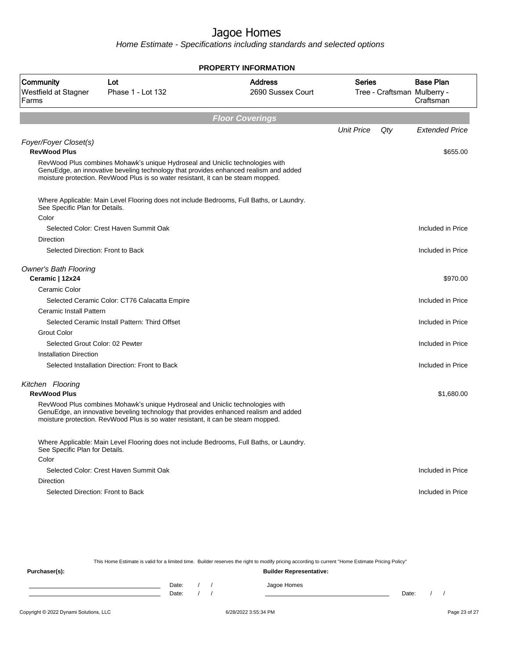Home Estimate - Specifications including standards and selected options

|                                                 |                                                                                                                                                                                                                                                           | <b>PROPERTY INFORMATION</b>         |                   |                             |                               |
|-------------------------------------------------|-----------------------------------------------------------------------------------------------------------------------------------------------------------------------------------------------------------------------------------------------------------|-------------------------------------|-------------------|-----------------------------|-------------------------------|
| Community<br>Westfield at Stagner<br>Farms      | Lot<br>Phase 1 - Lot 132                                                                                                                                                                                                                                  | <b>Address</b><br>2690 Sussex Court | Series            | Tree - Craftsman Mulberry - | <b>Base Plan</b><br>Craftsman |
|                                                 |                                                                                                                                                                                                                                                           | <b>Floor Coverings</b>              |                   |                             |                               |
|                                                 |                                                                                                                                                                                                                                                           |                                     | <b>Unit Price</b> | Qty                         | <b>Extended Price</b>         |
|                                                 |                                                                                                                                                                                                                                                           |                                     |                   |                             |                               |
| Foyer/Foyer Closet(s)<br><b>RevWood Plus</b>    |                                                                                                                                                                                                                                                           |                                     |                   |                             | \$655.00                      |
|                                                 | RevWood Plus combines Mohawk's unique Hydroseal and Uniclic technologies with<br>GenuEdge, an innovative beveling technology that provides enhanced realism and added<br>moisture protection. RevWood Plus is so water resistant, it can be steam mopped. |                                     |                   |                             |                               |
| See Specific Plan for Details.                  | Where Applicable: Main Level Flooring does not include Bedrooms, Full Baths, or Laundry.                                                                                                                                                                  |                                     |                   |                             |                               |
| Color                                           | Selected Color: Crest Haven Summit Oak                                                                                                                                                                                                                    |                                     |                   |                             | Included in Price             |
| Direction                                       |                                                                                                                                                                                                                                                           |                                     |                   |                             |                               |
| Selected Direction: Front to Back               |                                                                                                                                                                                                                                                           |                                     |                   |                             | Included in Price             |
| <b>Owner's Bath Flooring</b><br>Ceramic   12x24 |                                                                                                                                                                                                                                                           |                                     |                   |                             | \$970.00                      |
| Ceramic Color                                   |                                                                                                                                                                                                                                                           |                                     |                   |                             |                               |
|                                                 | Selected Ceramic Color: CT76 Calacatta Empire                                                                                                                                                                                                             |                                     |                   |                             | Included in Price             |
| Ceramic Install Pattern                         |                                                                                                                                                                                                                                                           |                                     |                   |                             |                               |
|                                                 | Selected Ceramic Install Pattern: Third Offset                                                                                                                                                                                                            |                                     |                   |                             | Included in Price             |
| <b>Grout Color</b>                              |                                                                                                                                                                                                                                                           |                                     |                   |                             |                               |
| Selected Grout Color: 02 Pewter                 |                                                                                                                                                                                                                                                           |                                     |                   |                             | Included in Price             |
| Installation Direction                          |                                                                                                                                                                                                                                                           |                                     |                   |                             |                               |
|                                                 | Selected Installation Direction: Front to Back                                                                                                                                                                                                            |                                     |                   |                             | Included in Price             |
| Kitchen Flooring<br><b>RevWood Plus</b>         |                                                                                                                                                                                                                                                           |                                     |                   |                             | \$1,680.00                    |
|                                                 | RevWood Plus combines Mohawk's unique Hydroseal and Uniclic technologies with<br>GenuEdge, an innovative beveling technology that provides enhanced realism and added<br>moisture protection. RevWood Plus is so water resistant, it can be steam mopped. |                                     |                   |                             |                               |
| See Specific Plan for Details.                  | Where Applicable: Main Level Flooring does not include Bedrooms, Full Baths, or Laundry.                                                                                                                                                                  |                                     |                   |                             |                               |
| Color                                           |                                                                                                                                                                                                                                                           |                                     |                   |                             |                               |
|                                                 | Selected Color: Crest Haven Summit Oak                                                                                                                                                                                                                    |                                     |                   |                             | Included in Price             |
| <b>Direction</b>                                |                                                                                                                                                                                                                                                           |                                     |                   |                             |                               |
| Selected Direction: Front to Back               |                                                                                                                                                                                                                                                           |                                     |                   |                             | Included in Price             |

This Home Estimate is valid for a limited time. Builder reserves the right to modify pricing according to current "Home Estimate Pricing Policy" **Purchaser(s): Builder Representative:** Date: / / Jagoe Homes<br>Date: / / Jagoe Homes Date: / / Date: / /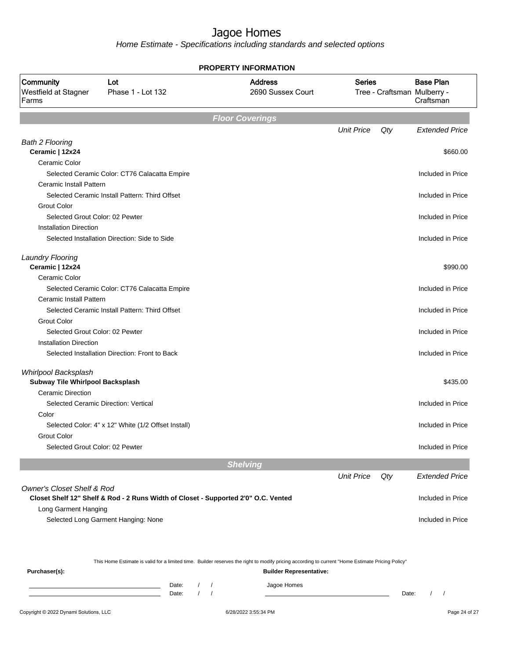Home Estimate - Specifications including standards and selected options

|                                       |                                                                                    | <b>PROPERTY INFORMATION</b>         |                   |     |                                                 |
|---------------------------------------|------------------------------------------------------------------------------------|-------------------------------------|-------------------|-----|-------------------------------------------------|
| Community<br>Westfield at Stagner     | Lot<br>Phase 1 - Lot 132                                                           | <b>Address</b><br>2690 Sussex Court | <b>Series</b>     |     | <b>Base Plan</b><br>Tree - Craftsman Mulberry - |
| Farms                                 |                                                                                    |                                     |                   |     | Craftsman                                       |
|                                       |                                                                                    | <b>Floor Coverings</b>              |                   |     |                                                 |
|                                       |                                                                                    |                                     | <b>Unit Price</b> | Qty | <b>Extended Price</b>                           |
| <b>Bath 2 Flooring</b>                |                                                                                    |                                     |                   |     |                                                 |
| Ceramic   12x24                       |                                                                                    |                                     |                   |     | \$660.00                                        |
| Ceramic Color                         |                                                                                    |                                     |                   |     |                                                 |
|                                       | Selected Ceramic Color: CT76 Calacatta Empire                                      |                                     |                   |     | Included in Price                               |
| Ceramic Install Pattern               |                                                                                    |                                     |                   |     |                                                 |
|                                       | Selected Ceramic Install Pattern: Third Offset                                     |                                     |                   |     | Included in Price                               |
| <b>Grout Color</b>                    |                                                                                    |                                     |                   |     |                                                 |
| Selected Grout Color: 02 Pewter       |                                                                                    |                                     |                   |     | Included in Price                               |
| <b>Installation Direction</b>         |                                                                                    |                                     |                   |     |                                                 |
|                                       | Selected Installation Direction: Side to Side                                      |                                     |                   |     | Included in Price                               |
| <b>Laundry Flooring</b>               |                                                                                    |                                     |                   |     |                                                 |
| Ceramic   12x24                       |                                                                                    |                                     |                   |     | \$990.00                                        |
| Ceramic Color                         |                                                                                    |                                     |                   |     |                                                 |
|                                       | Selected Ceramic Color: CT76 Calacatta Empire                                      |                                     |                   |     | Included in Price                               |
| Ceramic Install Pattern               |                                                                                    |                                     |                   |     |                                                 |
|                                       | Selected Ceramic Install Pattern: Third Offset                                     |                                     |                   |     | Included in Price                               |
| <b>Grout Color</b>                    |                                                                                    |                                     |                   |     |                                                 |
| Selected Grout Color: 02 Pewter       |                                                                                    |                                     |                   |     | Included in Price                               |
| <b>Installation Direction</b>         |                                                                                    |                                     |                   |     |                                                 |
|                                       | Selected Installation Direction: Front to Back                                     |                                     |                   |     | Included in Price                               |
| Whirlpool Backsplash                  |                                                                                    |                                     |                   |     |                                                 |
| Subway Tile Whirlpool Backsplash      |                                                                                    |                                     |                   |     | \$435.00                                        |
| <b>Ceramic Direction</b>              |                                                                                    |                                     |                   |     |                                                 |
|                                       | Selected Ceramic Direction: Vertical                                               |                                     |                   |     | Included in Price                               |
| Color                                 |                                                                                    |                                     |                   |     |                                                 |
|                                       | Selected Color: 4" x 12" White (1/2 Offset Install)                                |                                     |                   |     | Included in Price                               |
| Grout Color                           |                                                                                    |                                     |                   |     |                                                 |
| Selected Grout Color: 02 Pewter       |                                                                                    |                                     |                   |     | Included in Price                               |
|                                       |                                                                                    | <b>Shelving</b>                     |                   |     |                                                 |
|                                       |                                                                                    |                                     | <b>Unit Price</b> | Qty | <b>Extended Price</b>                           |
| <b>Owner's Closet Shelf &amp; Rod</b> | Closet Shelf 12" Shelf & Rod - 2 Runs Width of Closet - Supported 2'0" O.C. Vented |                                     |                   |     | Included in Price                               |
| Long Garment Hanging                  |                                                                                    |                                     |                   |     |                                                 |
|                                       | Selected Long Garment Hanging: None                                                |                                     |                   |     | Included in Price                               |
|                                       |                                                                                    |                                     |                   |     |                                                 |

This Home Estimate is valid for a limited time. Builder reserves the right to modify pricing according to current "Home Estimate Pricing Policy"

**Purchaser(s): Builder Representative:** Date: / / Jagoe Homes<br>Date: / / Jagoe Homes Date: / / Date: / /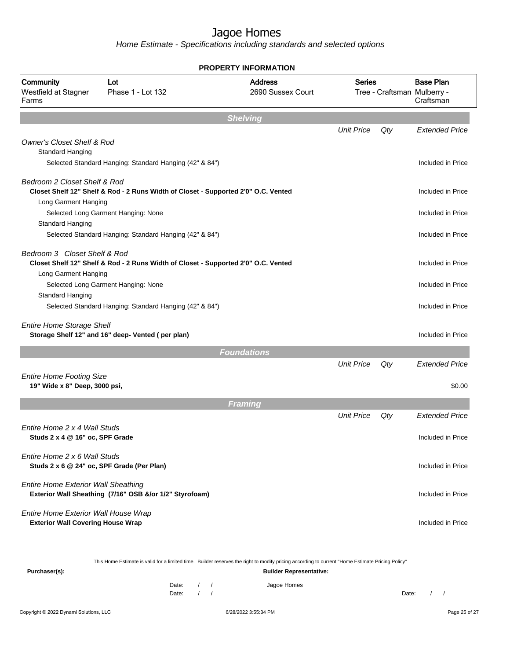Home Estimate - Specifications including standards and selected options

|                                                                  | <b>PROPERTY INFORMATION</b>                                                        |                                                                                                                                                  |                   |     |                                                              |  |  |  |
|------------------------------------------------------------------|------------------------------------------------------------------------------------|--------------------------------------------------------------------------------------------------------------------------------------------------|-------------------|-----|--------------------------------------------------------------|--|--|--|
| Community<br>Westfield at Stagner<br>Farms                       | Lot<br>Phase 1 - Lot 132                                                           | <b>Address</b><br>2690 Sussex Court                                                                                                              | <b>Series</b>     |     | <b>Base Plan</b><br>Tree - Craftsman Mulberry -<br>Craftsman |  |  |  |
|                                                                  |                                                                                    | <b>Shelving</b>                                                                                                                                  |                   |     |                                                              |  |  |  |
|                                                                  |                                                                                    |                                                                                                                                                  | <b>Unit Price</b> | Qty | <b>Extended Price</b>                                        |  |  |  |
| <b>Owner's Closet Shelf &amp; Rod</b><br>Standard Hanging        |                                                                                    |                                                                                                                                                  |                   |     |                                                              |  |  |  |
|                                                                  | Selected Standard Hanging: Standard Hanging (42" & 84")                            |                                                                                                                                                  |                   |     | Included in Price                                            |  |  |  |
| Bedroom 2 Closet Shelf & Rod                                     |                                                                                    |                                                                                                                                                  |                   |     |                                                              |  |  |  |
| Long Garment Hanging                                             | Closet Shelf 12" Shelf & Rod - 2 Runs Width of Closet - Supported 2'0" O.C. Vented |                                                                                                                                                  |                   |     | Included in Price                                            |  |  |  |
|                                                                  | Selected Long Garment Hanging: None                                                |                                                                                                                                                  |                   |     | Included in Price                                            |  |  |  |
| Standard Hanging                                                 |                                                                                    |                                                                                                                                                  |                   |     |                                                              |  |  |  |
|                                                                  | Selected Standard Hanging: Standard Hanging (42" & 84")                            |                                                                                                                                                  |                   |     | Included in Price                                            |  |  |  |
| Bedroom 3 Closet Shelf & Rod<br>Long Garment Hanging             | Closet Shelf 12" Shelf & Rod - 2 Runs Width of Closet - Supported 2'0" O.C. Vented |                                                                                                                                                  |                   |     | Included in Price                                            |  |  |  |
|                                                                  | Selected Long Garment Hanging: None                                                |                                                                                                                                                  |                   |     | Included in Price                                            |  |  |  |
| Standard Hanging                                                 |                                                                                    |                                                                                                                                                  |                   |     |                                                              |  |  |  |
|                                                                  | Selected Standard Hanging: Standard Hanging (42" & 84")                            |                                                                                                                                                  |                   |     | Included in Price                                            |  |  |  |
| <b>Entire Home Storage Shelf</b>                                 | Storage Shelf 12" and 16" deep- Vented (per plan)                                  |                                                                                                                                                  |                   |     | Included in Price                                            |  |  |  |
|                                                                  |                                                                                    | <b>Foundations</b>                                                                                                                               |                   |     |                                                              |  |  |  |
|                                                                  |                                                                                    |                                                                                                                                                  | <b>Unit Price</b> | Qty | <b>Extended Price</b>                                        |  |  |  |
| <b>Entire Home Footing Size</b><br>19" Wide x 8" Deep, 3000 psi, |                                                                                    |                                                                                                                                                  |                   |     | \$0.00                                                       |  |  |  |
|                                                                  |                                                                                    | <b>Framing</b>                                                                                                                                   |                   |     |                                                              |  |  |  |
|                                                                  |                                                                                    |                                                                                                                                                  | <b>Unit Price</b> | Qty | <b>Extended Price</b>                                        |  |  |  |
| Entire Home 2 x 4 Wall Studs<br>Studs 2 x 4 @ 16" oc, SPF Grade  |                                                                                    |                                                                                                                                                  |                   |     | Included in Price                                            |  |  |  |
| Entire Home 2 x 6 Wall Studs                                     | Studs 2 x 6 @ 24" oc, SPF Grade (Per Plan)                                         |                                                                                                                                                  |                   |     | Included in Price                                            |  |  |  |
| <b>Entire Home Exterior Wall Sheathing</b>                       | Exterior Wall Sheathing (7/16" OSB &/or 1/2" Styrofoam)                            |                                                                                                                                                  |                   |     | Included in Price                                            |  |  |  |
| Entire Home Exterior Wall House Wrap                             |                                                                                    |                                                                                                                                                  |                   |     |                                                              |  |  |  |
| <b>Exterior Wall Covering House Wrap</b>                         |                                                                                    |                                                                                                                                                  |                   |     | Included in Price                                            |  |  |  |
|                                                                  |                                                                                    | This Home Estimate is valid for a limited time. Builder reserves the right to modify pricing according to current "Home Estimate Pricing Policy" |                   |     |                                                              |  |  |  |
| Purchaser(s):                                                    |                                                                                    | <b>Builder Representative:</b>                                                                                                                   |                   |     |                                                              |  |  |  |

Date: / / Jagoe Homes<br>Date: / / Jagoe Homes Date: / / **Date: / / 2006** Date: / / / Date: / / / Date: / / / 2006 Date: / / / 2006 Date: / / / 2006 Date: / / / 2006 Date: / / / 2007 Date: / / / 2007 Date: / / / 2007 Date: / / / 2007 Date: / / / 2007 Date: / / / 2007 D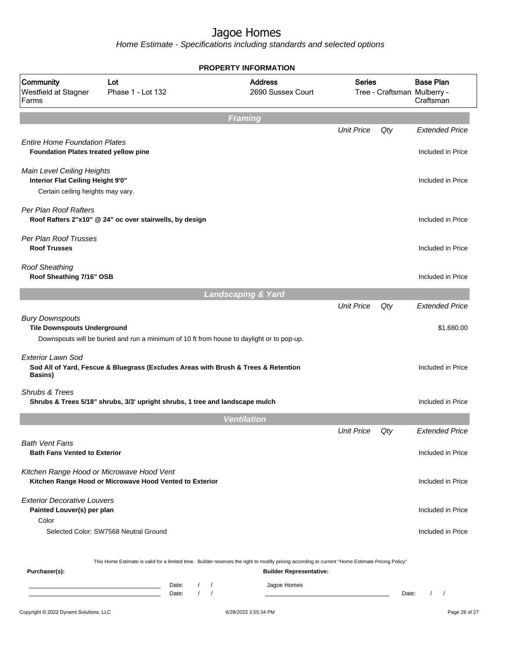| Community<br>Westfield at Stagner<br>Farms                                           | Lot<br>Phase 1 - Lot 132                                                                             | <b>Address</b><br>2690 Sussex Court                                                                                                                                                | <b>Series</b>     |       | <b>Base Plan</b><br>Tree - Craftsman Mulberry -<br>Craftsman |
|--------------------------------------------------------------------------------------|------------------------------------------------------------------------------------------------------|------------------------------------------------------------------------------------------------------------------------------------------------------------------------------------|-------------------|-------|--------------------------------------------------------------|
|                                                                                      |                                                                                                      | <b>Framing</b>                                                                                                                                                                     |                   |       |                                                              |
|                                                                                      |                                                                                                      |                                                                                                                                                                                    | <b>Unit Price</b> | Qty   | <b>Extended Price</b>                                        |
| <b>Entire Home Foundation Plates</b><br><b>Foundation Plates treated yellow pine</b> |                                                                                                      |                                                                                                                                                                                    |                   |       | Included in Price                                            |
| Main Level Ceiling Heights<br>Interior Flat Ceiling Height 9'0"                      |                                                                                                      |                                                                                                                                                                                    |                   |       | Included in Price                                            |
| Certain ceiling heights may vary.                                                    |                                                                                                      |                                                                                                                                                                                    |                   |       |                                                              |
| Per Plan Roof Rafters                                                                | Roof Rafters 2"x10" @ 24" oc over stairwells, by design                                              |                                                                                                                                                                                    |                   |       | Included in Price                                            |
| Per Plan Roof Trusses<br><b>Roof Trusses</b>                                         |                                                                                                      |                                                                                                                                                                                    |                   |       | Included in Price                                            |
| <b>Roof Sheathing</b><br>Roof Sheathing 7/16" OSB                                    |                                                                                                      |                                                                                                                                                                                    |                   |       | Included in Price                                            |
|                                                                                      |                                                                                                      | <b>Landscaping &amp; Yard</b>                                                                                                                                                      |                   |       |                                                              |
|                                                                                      |                                                                                                      |                                                                                                                                                                                    | <b>Unit Price</b> | Qty   | <b>Extended Price</b>                                        |
| <b>Bury Downspouts</b><br><b>Tile Downspouts Underground</b>                         | Downspouts will be buried and run a minimum of 10 ft from house to daylight or to pop-up.            |                                                                                                                                                                                    |                   |       | \$1,680.00                                                   |
| <b>Exterior Lawn Sod</b><br>Basins)                                                  | Sod All of Yard, Fescue & Bluegrass (Excludes Areas with Brush & Trees & Retention                   |                                                                                                                                                                                    |                   |       | Included in Price                                            |
| Shrubs & Trees                                                                       | Shrubs & Trees 5/18" shrubs, 3/3' upright shrubs, 1 tree and landscape mulch                         |                                                                                                                                                                                    |                   |       | Included in Price                                            |
|                                                                                      |                                                                                                      | <b>Ventilation</b>                                                                                                                                                                 |                   |       |                                                              |
|                                                                                      |                                                                                                      |                                                                                                                                                                                    | <b>Unit Price</b> | Qty   | <b>Extended Price</b>                                        |
| <b>Bath Vent Fans</b><br><b>Bath Fans Vented to Exterior</b>                         |                                                                                                      |                                                                                                                                                                                    |                   |       | Included in Price                                            |
|                                                                                      | Kitchen Range Hood or Microwave Hood Vent<br>Kitchen Range Hood or Microwave Hood Vented to Exterior |                                                                                                                                                                                    |                   |       | Included in Price                                            |
| <b>Exterior Decorative Louvers</b><br>Painted Louver(s) per plan                     |                                                                                                      |                                                                                                                                                                                    |                   |       | Included in Price                                            |
| Color                                                                                |                                                                                                      |                                                                                                                                                                                    |                   |       |                                                              |
|                                                                                      | Selected Color: SW7568 Neutral Ground                                                                |                                                                                                                                                                                    |                   |       | Included in Price                                            |
| Purchaser(s):                                                                        |                                                                                                      | This Home Estimate is valid for a limited time. Builder reserves the right to modify pricing according to current "Home Estimate Pricing Policy"<br><b>Builder Representative:</b> |                   |       |                                                              |
|                                                                                      | Date:<br>$\left  \right $<br>the control of the control of the control of the<br>$\sqrt{ }$<br>Date: | Jagoe Homes<br>$\prime$                                                                                                                                                            |                   | Date: | $\sqrt{2}$<br>$\sqrt{ }$                                     |
| Copyright © 2022 Dynami Solutions, LLC                                               |                                                                                                      | 6/28/2022 3:55:34 PM                                                                                                                                                               |                   |       | Page 26 of 27                                                |